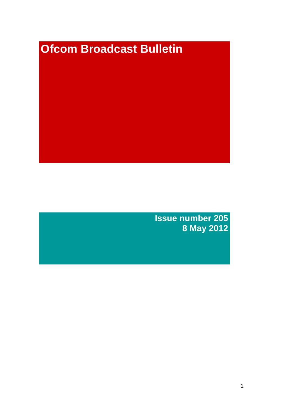# **Ofcom Broadcast Bulletin**

**Issue number 205 8 May 2012**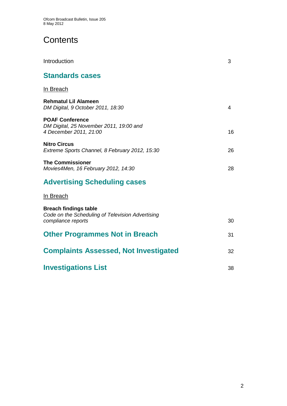# **Contents**

| Introduction                                                                                           | 3  |
|--------------------------------------------------------------------------------------------------------|----|
| <b>Standards cases</b>                                                                                 |    |
| <b>In Breach</b>                                                                                       |    |
| <b>Rehmatul Lil Alameen</b><br>DM Digital, 9 October 2011, 18:30                                       | 4  |
| <b>POAF Conference</b><br>DM Digital, 25 November 2011, 19:00 and<br>4 December 2011, 21:00            | 16 |
| <b>Nitro Circus</b><br>Extreme Sports Channel, 8 February 2012, 15:30                                  | 26 |
| <b>The Commissioner</b><br>Movies4Men, 16 February 2012, 14:30                                         | 28 |
| <b>Advertising Scheduling cases</b>                                                                    |    |
| In Breach                                                                                              |    |
| <b>Breach findings table</b><br>Code on the Scheduling of Television Advertising<br>compliance reports | 30 |
| <b>Other Programmes Not in Breach</b>                                                                  | 31 |
| <b>Complaints Assessed, Not Investigated</b>                                                           | 32 |
| <b>Investigations List</b>                                                                             | 38 |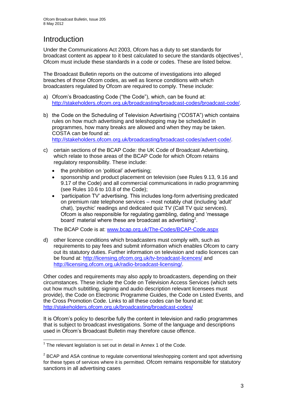# **Introduction**

Under the Communications Act 2003, Ofcom has a duty to set standards for broadcast content as appear to it best calculated to secure the standards objectives<sup>1</sup>, Ofcom must include these standards in a code or codes. These are listed below.

The Broadcast Bulletin reports on the outcome of investigations into alleged breaches of those Ofcom codes, as well as licence conditions with which broadcasters regulated by Ofcom are required to comply. These include:

- a) Ofcom"s Broadcasting Code ("the Code"), which, can be found at: [http://stakeholders.ofcom.org.uk/broadcasting/broadcast-codes/broadcast-code/.](http://stakeholders.ofcom.org.uk/broadcasting/broadcast-codes/broadcast-code/)
- b) the Code on the Scheduling of Television Advertising ("COSTA") which contains rules on how much advertising and teleshopping may be scheduled in programmes, how many breaks are allowed and when they may be taken. COSTA can be found at: [http://stakeholders.ofcom.org.uk/broadcasting/broadcast-codes/advert-code/.](http://stakeholders.ofcom.org.uk/broadcasting/broadcast-codes/advert-code/)

c) certain sections of the BCAP Code: the UK Code of Broadcast Advertising, which relate to those areas of the BCAP Code for which Ofcom retains regulatory responsibility. These include:

- the prohibition on "political" advertising;
- sponsorship and product placement on television (see Rules 9.13, 9.16 and 9.17 of the Code) and all commercial communications in radio programming (see Rules 10.6 to 10.8 of the Code);
- "participation TV" advertising. This includes long-form advertising predicated on premium rate telephone services – most notably chat (including "adult" chat), "psychic" readings and dedicated quiz TV (Call TV quiz services). Ofcom is also responsible for regulating gambling, dating and "message board' material where these are broadcast as advertising<sup>2</sup>.

The BCAP Code is at: [www.bcap.org.uk/The-Codes/BCAP-Code.aspx](http://www.bcap.org.uk/The-Codes/BCAP-Code.aspx)

d) other licence conditions which broadcasters must comply with, such as requirements to pay fees and submit information which enables Ofcom to carry out its statutory duties. Further information on television and radio licences can be found at:<http://licensing.ofcom.org.uk/tv-broadcast-licences/> and [http://licensing.ofcom.org.uk/radio-broadcast-licensing/.](http://licensing.ofcom.org.uk/radio-broadcast-licensing/)

Other codes and requirements may also apply to broadcasters, depending on their circumstances. These include the Code on Television Access Services (which sets out how much subtitling, signing and audio description relevant licensees must provide), the Code on Electronic Programme Guides, the Code on Listed Events, and the Cross Promotion Code. Links to all these codes can be found at: <http://stakeholders.ofcom.org.uk/broadcasting/broadcast-codes/>

It is Ofcom"s policy to describe fully the content in television and radio programmes that is subject to broadcast investigations. Some of the language and descriptions used in Ofcom"s Broadcast Bulletin may therefore cause offence.

1

 $1$  The relevant legislation is set out in detail in Annex 1 of the Code.

 $2$  BCAP and ASA continue to regulate conventional teleshopping content and spot advertising for these types of services where it is permitted. Ofcom remains responsible for statutory sanctions in all advertising cases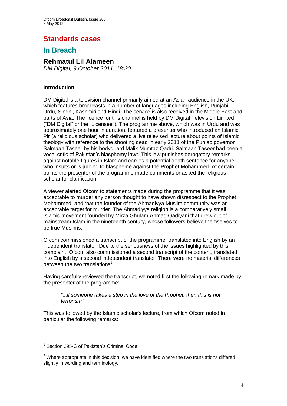## **Standards cases**

## **In Breach**

### **Rehmatul Lil Alameen**

*DM Digital, 9 October 2011, 18:30*

#### **Introduction**

DM Digital is a television channel primarily aimed at an Asian audience in the UK, which features broadcasts in a number of languages including English, Punjabi, Urdu, Sindhi, Kashmiri and Hindi. The service is also received in the Middle East and parts of Asia. The licence for this channel is held by DM Digital Television Limited ("DM Digital" or the "Licensee"). The programme above, which was in Urdu and was approximately one hour in duration, featured a presenter who introduced an Islamic Pir (a religious scholar) who delivered a live televised lecture about points of Islamic theology with reference to the shooting dead in early 2011 of the Punjab governor Salmaan Taseer by his bodyguard Malik Mumtaz Qadri. Salmaan Taseer had been a vocal critic of Pakistan's blasphemy law $1$ . This law punishes derogatory remarks against notable figures in Islam and carries a potential death sentence for anyone who insults or is judged to blaspheme against the Prophet Mohammed. At certain points the presenter of the programme made comments or asked the religious scholar for clarification.

A viewer alerted Ofcom to statements made during the programme that it was acceptable to murder any person thought to have shown disrespect to the Prophet Mohammed, and that the founder of the Ahmadiyya Muslim community was an acceptable target for murder. The Ahmadiyya religion is a comparatively small Islamic movement founded by Mirza Ghulam Ahmad Qadiyani that grew out of mainstream Islam in the nineteenth century, whose followers believe themselves to be true Muslims.

Ofcom commissioned a transcript of the programme, translated into English by an independent translator. Due to the seriousness of the issues highlighted by this complaint, Ofcom also commissioned a second transcript of the content, translated into English by a second independent translator. There were no material differences between the two translations<sup>2</sup>.

Having carefully reviewed the transcript, we noted first the following remark made by the presenter of the programme:

#### *"*...*if someone takes a step in the love of the Prophet, then this is not terrorism".*

This was followed by the Islamic scholar"s lecture, from which Ofcom noted in particular the following remarks:

<sup>1</sup> <sup>1</sup> Section 295-C of Pakistan's Criminal Code.

 $2$  Where appropriate in this decision, we have identified where the two translations differed slightly in wording and terminology.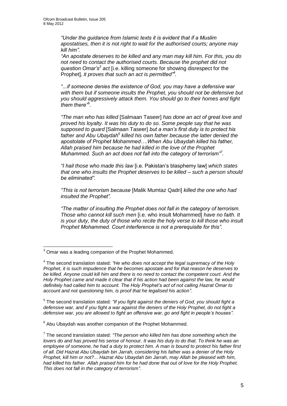*"Under the guidance from Islamic texts it is evident that if a Muslim apostatises, then it is not right to wait for the authorised courts; anyone may kill him".* 

*"An apostate deserves to be killed and any man may kill him. For this, you do not need to contact the authorised courts. Because the prophet did not question Omar"s<sup>3</sup> act* [i.e. killing someone for showing disrespect for the Prophet]*, it proves that such an act is permitted"<sup>4</sup> .* 

*"...if someone denies the existence of God, you may have a defensive war with them but if someone insults the Prophet, you should not be defensive but you should aggressively attack them. You should go to their homes and fight them there"<sup>5</sup> .*

*"The man who has killed* [Salmaan Taseer] *has done an act of great love and proved his loyalty. It was his duty to do so. Some people say that he was supposed to guard* [Salmaan Taseer] *but a man"s first duty is to protect his father and Abu Ubaydah<sup>6</sup> killed his own father because the latter denied the apostolate of Prophet Mohammed….When Abu Ubaydah killed his father, Allah praised him because he had killed in the love of the Prophet*  Muhammed. Such an act does not fall into the category of terrorism"<sup>7</sup>.

*"I hail those who made this law* [i.e. Pakistan"s blasphemy law] *which states that one who insults the Prophet deserves to be killed – such a person should be eliminated".* 

*"This is not terrorism because* [Malik Mumtaz Qadri] *killed the one who had insulted the Prophet".* 

*"The matter of insulting the Prophet does not fall in the category of terrorism. Those who cannot kill such men* [i.e. who insult Mohammed] *have no faith. It is your duty, the duty of those who recite the holy verse to kill those who insult Prophet Mohammed. Court interference is not a prerequisite for this".* 

5 The second translation stated: *"If you fight against the deniers of God, you should fight a defensive war, and if you fight a war against the deniers of the Holy Prophet, do not fight a defensive war, you are allowed to fight an offensive war, go and fight in people"s houses"*.

 $6$  Abu Ubaydah was another companion of the Prophet Mohammed.

 $\overline{a}$  $3$  Omar was a leading companion of the Prophet Mohammed.

<sup>4</sup> The second translation stated: *"He who does not accept the legal supremacy of the Holy Prophet, it is such impudence that he becomes apostate and for that reason he deserves to be killed. Anyone could kill him and there is no need to contact the competent court. And the Holy Prophet came and made it clear that if his action had been against the law, he would definitely had called him to account. The Holy Prophet"s act of not calling Hazrat Omar to account and not questioning him, is proof that he legalised his action"*.

<sup>7</sup> The second translation stated: *"The person who killed him has done something which the lovers do and has proved his sense of honour. It was his duty to do that. To think he was an employee of someone, he had a duty to protect him. A man is bound to protect his father first of all. Did Hazrat Abu Ubaydah bin Jarrah, considering his father was a denier of the Holy Prophet, kill him or not?... Hazrat Abu Ubaydah bin Jarrah, may Allah be pleased with him, had killed his father. Allah praised him for he had done that out of love for the Holy Prophet. This does not fall in the category of terrorism"*.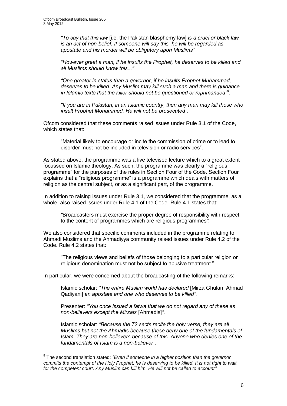1

*"To say that this law* [i.e. the Pakistan blasphemy law] *is a cruel or black law is an act of non-belief. If someone will say this, he will be regarded as apostate and his murder will be obligatory upon Muslims".* 

*"However great a man, if he insults the Prophet, he deserves to be killed and all Muslims should know this..."* 

*"One greater in status than a governor, if he insults Prophet Muhammad, deserves to be killed. Any Muslim may kill such a man and there is guidance in Islamic texts that the killer should not be questioned or reprimanded"<sup>8</sup> .* 

*"If you are in Pakistan, in an Islamic country, then any man may kill those who insult Prophet Mohammed. He will not be prosecuted".*

Ofcom considered that these comments raised issues under Rule 3.1 of the Code, which states that:

"Material likely to encourage or incite the commission of crime or to lead to disorder must not be included in television or radio services".

As stated above, the programme was a live televised lecture which to a great extent focussed on Islamic theology. As such, the programme was clearly a "religious programme" for the purposes of the rules in Section Four of the Code. Section Four explains that a "religious programme" is a programme which deals with matters of religion as the central subject, or as a significant part, of the programme.

In addition to raising issues under Rule 3.1, we considered that the programme, as a whole, also raised issues under Rule 4.1 of the Code. Rule 4.1 states that:

*"*Broadcasters must exercise the proper degree of responsibility with respect to the content of programmes which are religious programmes*".*

We also considered that specific comments included in the programme relating to Ahmadi Muslims and the Ahmadiyya community raised issues under Rule 4.2 of the Code. Rule 4.2 states that:

"The religious views and beliefs of those belonging to a particular religion or religious denomination must not be subject to abusive treatment."

In particular, we were concerned about the broadcasting of the following remarks:

Islamic scholar: *"The entire Muslim world has declared* [Mirza Ghulam Ahmad Qadiyani] *an apostate and one who deserves to be killed".* 

Presenter: *"You once issued a fatwa that we do not regard any of these as non-believers except the Mirzais* [Ahmadis]*".*

Islamic scholar: *"Because the 72 sects recite the holy verse, they are all Muslims but not the Ahmadis because these deny one of the fundamentals of Islam. They are non-believers because of this. Anyone who denies one of the fundamentals of Islam is a non-believer".* 

<sup>8</sup> The second translation stated: *"Even if someone in a higher position than the governor commits the contempt of the Holy Prophet, he is deserving to be killed. It is not right to wait for the competent court. Any Muslim can kill him. He will not be called to account"*.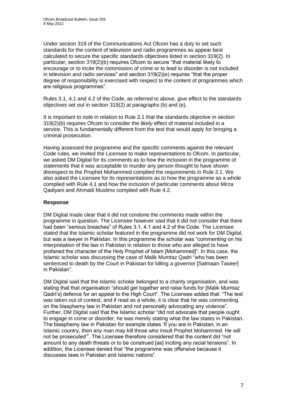Under section 319 of the Communications Act Ofcom has a duty to set such standards for the content of television and radio programmes as appear best calculated to secure the specific standards objectives listed in section 319(2). In particular, section 319(2)(b) requires Ofcom to secure "that material likely to encourage or to incite the commission of crime or to lead to disorder is not included in television and radio services" and section 319(2)(e) requires "that the proper degree of responsibility is exercised with respect to the content of programmes which are religious programmes".

Rules 3.1, 4.1 and 4.2 of the Code, as referred to above, give effect to the standards objectives set out in section 319(2) at paragraphs (b) and (e).

It is important to note in relation to Rule 3.1 that the standards objective in section 319(2)(b) requires Ofcom to consider the *likely* effect of material included in a service. This is fundamentally different from the test that would apply for bringing a criminal prosecution.

Having assessed the programme and the specific comments against the relevant Code rules, we invited the Licensee to make representations to Ofcom. In particular, we asked DM Digital for its comments as to how the inclusion in the programme of statements that it was acceptable to murder any person thought to have shown disrespect to the Prophet Mohammed complied the requirements in Rule 3.1. We also asked the Licensee for its representations as to how the programme as a whole complied with Rule 4.1 and how the inclusion of particular comments about Mirza Qadiyani and Ahmadi Muslims complied with Rule 4.2.

#### **Response**

DM Digital made clear that it did not condone the comments made within the programme in question. The Licensee however said that it did not consider that there had been "serious breaches" of Rules 3.1, 4.1 and 4.2 of the Code. The Licensee stated that the Islamic scholar featured in the programme did not work for DM Digital, but was a lawyer in Pakistan. In this programme the scholar was "commenting on his interpretation of the law in Pakistan in relation to those who are alleged to have profaned the character of the Holy Prophet of Islam [Mohammed]". In this case, the Islamic scholar was discussing the case of Malik Mumtaz Qadri "who has been sentenced to death by the Court in Pakistan for killing a governor [Salmaan Taseer] in Pakistan".

DM Digital said that the Islamic scholar belonged to a charity organisation, and was stating that that organisation "should get together and raise funds for [Malik Mumtaz Qadri"s] defence for an appeal to the High Court". The Licensee added that: "The text was taken out of context, and if read as a whole, it is clear that he was commenting on the blasphemy law in Pakistan and not personally advocating any violence". Further, DM Digital said that the Islamic scholar "did not advocate that people ought to engage in crime or disorder, he was merely stating what the law states in Pakistan. The blasphemy law in Pakistan for example states "If you are in Pakistan, in an Islamic country, then any man may kill those who insult Prophet Mohammed. He will not be prosecuted"". The Licensee therefore considered that the content did "not amount to any death threats or to be construed [as] inciting any racial tensions". In addition, the Licensee denied that "the programme was offensive because it discusses laws in Pakistan and Islamic nations".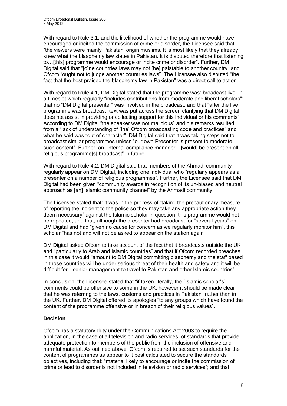With regard to Rule 3.1, and the likelihood of whether the programme would have encouraged or incited the commission of crime or disorder, the Licensee said that "the viewers were mainly Pakistani origin muslims. It is most likely that they already knew what the blasphemy law states in Pakistan. It is disputed therefore that listening to…[this] programme would encourage or incite crime or disorder". Further, DM Digital said that "[o]ne countries laws may not [be] palatable to another country" and Ofcom "ought not to judge another countries laws". The Licensee also disputed "the fact that the host praised the blasphemy law in Pakistan" was a direct call to action.

With regard to Rule 4.1, DM Digital stated that the programme was: broadcast live; in a timeslot which regularly "includes contributions from moderate and liberal scholars"; that no "DM Digital presenter" was involved in the broadcast; and that "after the live programme was broadcast, text was put across the screen clarifying that DM Digital does not assist in providing or collecting support for this individual or his comments". According to DM Digital "the speaker was not malicious" and his remarks resulted from a "lack of understanding of [the] Ofcom broadcasting code and practices" and what he said was "out of character". DM Digital said that it was taking steps not to broadcast similar programmes unless "our own Presenter is present to moderate such content". Further, an "internal compliance manager…[would] be present on all religious programme[s] broadcast" in future.

With regard to Rule 4.2, DM Digital said that members of the Ahmadi community regularly appear on DM Digital, including one individual who "regularly appears as a presenter on a number of religious programmes". Further, the Licensee said that DM Digital had been given "community awards in recognition of its un-biased and neutral approach as [an] Islamic community channel" by the Ahmadi community.

The Licensee stated that: it was in the process of "taking the precautionary measure of reporting the incident to the police so they may take any appropriate action they deem necessary" against the Islamic scholar in question; this programme would not be repeated; and that, although the presenter had broadcast for "several years" on DM Digital and had "given no cause for concern as we regularly monitor him", this scholar "has not and will not be asked to appear on the station again".

DM Digital asked Ofcom to take account of the fact that it broadcasts outside the UK and "particularly to Arab and Islamic countries" and that if Ofcom recorded breaches in this case it would "amount to DM Digital committing blasphemy and the staff based in those countries will be under serious threat of their health and safety and it will be difficult for…senior management to travel to Pakistan and other Islamic countries".

In conclusion, the Licensee stated that "if taken literally, the [Islamic scholar"s] comments could be offensive to some in the UK, however it should be made clear that he was referring to the laws, customs and practices in Pakistan" rather than in the UK. Further, DM Digital offered its apologies "to any groups which have found the content of the programme offensive or in breach of their religious values".

#### **Decision**

Ofcom has a statutory duty under the Communications Act 2003 to require the application, in the case of all television and radio services, of standards that provide adequate protection to members of the public from the inclusion of offensive and harmful material. As outlined above, Ofcom is required to set such standards for the content of programmes as appear to it best calculated to secure the standards objectives, including that: "material likely to encourage or incite the commission of crime or lead to disorder is not included in television or radio services"; and that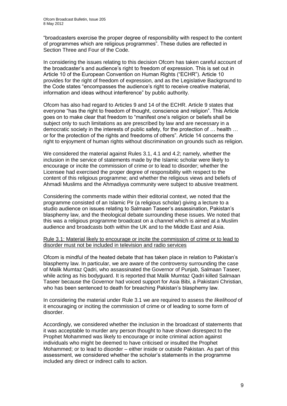"broadcasters exercise the proper degree of responsibility with respect to the content of programmes which are religious programmes". These duties are reflected in Section Three and Four of the Code.

In considering the issues relating to this decision Ofcom has taken careful account of the broadcaster"s and audience"s right to freedom of expression. This is set out in Article 10 of the European Convention on Human Rights ("ECHR"). Article 10 provides for the right of freedom of expression, and as the Legislative Background to the Code states "encompasses the audience"s right to receive creative material, information and ideas without interference" by public authority.

Ofcom has also had regard to Articles 9 and 14 of the ECHR. Article 9 states that everyone "has the right to freedom of thought, conscience and religion". This Article goes on to make clear that freedom to "manifest one"s religion or beliefs shall be subject only to such limitations as are prescribed by law and are necessary in a democratic society in the interests of public safety, for the protection of … health … or for the protection of the rights and freedoms of others". Article 14 concerns the right to enjoyment of human rights without discrimination on grounds such as religion.

We considered the material against Rules 3.1, 4.1 and 4.2; namely, whether the inclusion in the service of statements made by the Islamic scholar were likely to encourage or incite the commission of crime or to lead to disorder; whether the Licensee had exercised the proper degree of responsibility with respect to the content of this religious programme; and whether the religious views and beliefs of Ahmadi Muslims and the Ahmadiyya community were subject to abusive treatment.

Considering the comments made within their editorial context, we noted that the programme consisted of an Islamic Pir (a religious scholar) giving a lecture to a studio audience on issues relating to Salmaan Taseer"s assassination, Pakistan"s blasphemy law, and the theological debate surrounding these issues. We noted that this was a religious programme broadcast on a channel which is aimed at a Muslim audience and broadcasts both within the UK and to the Middle East and Asia.

#### Rule 3.1: Material likely to encourage or incite the commission of crime or to lead to disorder must not be included in television and radio services

Ofcom is mindful of the heated debate that has taken place in relation to Pakistan"s blasphemy law. In particular, we are aware of the controversy surrounding the case of Malik Mumtaz Qadri, who assassinated the Governor of Punjab, Salmaan Taseer, while acting as his bodyguard. It is reported that Malik Mumtaz Qadri killed Salmaan Taseer because the Governor had voiced support for Asia Bibi, a Pakistani Christian, who has been sentenced to death for breaching Pakistan's blasphemy law.

In considering the material under Rule 3.1 we are required to assess the *likelihood* of it encouraging or inciting the commission of crime or of leading to some form of disorder.

Accordingly, we considered whether the inclusion in the broadcast of statements that it was acceptable to murder any person thought to have shown disrespect to the Prophet Mohammed was likely to encourage or incite criminal action against individuals who might be deemed to have criticised or insulted the Prophet Mohammed; or to lead to disorder – either inside or outside Pakistan. As part of this assessment, we considered whether the scholar"s statements in the programme included any direct or indirect calls to action.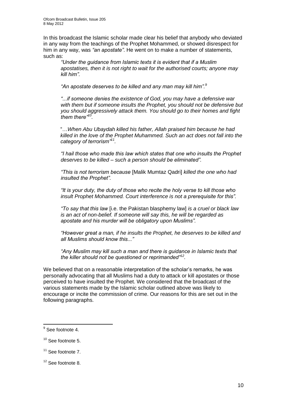In this broadcast the Islamic scholar made clear his belief that anybody who deviated in any way from the teachings of the Prophet Mohammed, or showed disrespect for him in any way, was *"an apostate"*. He went on to make a number of statements, such as:

*"Under the guidance from Islamic texts it is evident that if a Muslim apostatises, then it is not right to wait for the authorised courts; anyone may kill him".* 

*"An apostate deserves to be killed and any man may kill him".<sup>9</sup>*

*"...if someone denies the existence of God, you may have a defensive war with them but if someone insults the Prophet, you should not be defensive but you should aggressively attack them. You should go to their homes and fight them there"<sup>10</sup> .*

"…*When Abu Ubaydah killed his father, Allah praised him because he had killed in the love of the Prophet Muhammed. Such an act does not fall into the category of terrorism"<sup>11</sup> .*

*"I hail those who made this law which states that one who insults the Prophet deserves to be killed – such a person should be eliminated".* 

*"This is not terrorism because* [Malik Mumtaz Qadri] *killed the one who had insulted the Prophet".* 

*"It is your duty, the duty of those who recite the holy verse to kill those who insult Prophet Mohammed. Court interference is not a prerequisite for this".* 

*"To say that this law* [i.e. the Pakistan blasphemy law] *is a cruel or black law is an act of non-belief. If someone will say this, he will be regarded as apostate and his murder will be obligatory upon Muslims".* 

*"However great a man, if he insults the Prophet, he deserves to be killed and all Muslims should know this..."* 

*"Any Muslim may kill such a man and there is guidance in Islamic texts that the killer should not be questioned or reprimanded"<sup>12</sup> .* 

We believed that on a reasonable interpretation of the scholar's remarks, he was personally advocating that all Muslims had a duty to attack or kill apostates or those perceived to have insulted the Prophet. We considered that the broadcast of the various statements made by the Islamic scholar outlined above was likely to encourage or incite the commission of crime. Our reasons for this are set out in the following paragraphs.

 9 See footnote 4.

<sup>&</sup>lt;sup>10</sup> See footnote 5.

<sup>&</sup>lt;sup>11</sup> See footnote 7

<sup>&</sup>lt;sup>12</sup> See footnote 8.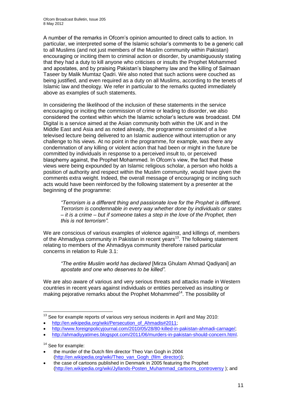A number of the remarks in Ofcom"s opinion amounted to direct calls to action. In particular, we interpreted some of the Islamic scholar"s comments to be a generic call to all Muslims (and not just members of the Muslim community within Pakistan) encouraging or inciting them to criminal action or disorder, by unambiguously stating that they had a duty to kill anyone who criticises or insults the Prophet Mohammed and apostates, and by praising Pakistan"s blasphemy law and the killing of Salmaan Taseer by Malik Mumtaz Qadri. We also noted that such actions were couched as being justified, and even required as a duty on all Muslims, according to the tenets of Islamic law and theology. We refer in particular to the remarks quoted immediately above as examples of such statements.

In considering the likelihood of the inclusion of these statements in the service encouraging or inciting the commission of crime or leading to disorder, we also considered the context within which the Islamic scholar"s lecture was broadcast. DM Digital is a service aimed at the Asian community both within the UK and in the Middle East and Asia and as noted already, the programme consisted of a live televised lecture being delivered to an Islamic audience without interruption or any challenge to his views. At no point in the programme, for example, was there any condemnation of any killing or violent action that had been or might in the future be committed by individuals in response to a perceived insult to, or perceived blasphemy against, the Prophet Mohammed. In Ofcom"s view, the fact that these views were being expounded by an Islamic religious scholar, a person who holds a position of authority and respect within the Muslim community, would have given the comments extra weight. Indeed, the overall message of encouraging or inciting such acts would have been reinforced by the following statement by a presenter at the beginning of the programme:

*"Terrorism is a different thing and passionate love for the Prophet is different. Terrorism is condemnable in every way whether done by individuals or states – it is a crime – but if someone takes a step in the love of the Prophet, then this is not terrorism".*

We are conscious of various examples of violence against, and killings of, members of the Ahmadiyya community in Pakistan in recent years<sup>13</sup>. The following statement relating to members of the Ahmadiyya community therefore raised particular concerns in relation to Rule 3.1:

*"The entire Muslim world has declared* [Mirza Ghulam Ahmad Qadiyani] *an apostate and one who deserves to be killed".* 

We are also aware of various and very serious threats and attacks made in Western countries in recent years against individuals or entities perceived as insulting or making pejorative remarks about the Prophet Mohammed<sup>14</sup>. The possibility of

 the murder of the Dutch film director Theo Van Gogh in 2004 [\(http://en.wikipedia.org/wiki/Theo\\_van\\_Gogh\\_\(film\\_director\)\)](http://en.wikipedia.org/wiki/Theo_van_Gogh_(film_director));

<sup>1</sup>  $13$  See for example reports of various very serious incidents in April and May 2010:

<sup>•</sup> http://en.wikipedia.org/wiki/Persecution of Ahmadis#2011;

[http://www.foreignpolicyjournal.com/2010/05/28/80-killed-in-pakistan-ahmadi-carnage/;](http://www.foreignpolicyjournal.com/2010/05/28/80-killed-in-pakistan-ahmadi-carnage/)

[http://ahmadiyyatimes.blogspot.com/2011/06/murders-in-pakistan-should-concern.html.](http://ahmadiyyatimes.blogspot.com/2011/06/murders-in-pakistan-should-concern.html)

 $14$  See for example:

the case of cartoons published in Denmark in 2005 featuring the Prophet [\(http://en.wikipedia.org/wiki/Jyllands-Posten\\_Muhammad\\_cartoons\\_controversy](http://en.wikipedia.org/wiki/Jyllands-Posten_Muhammad_cartoons_controversy) ); and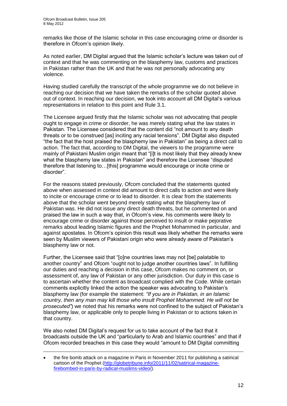1

remarks like those of the Islamic scholar in this case encouraging crime or disorder is therefore in Ofcom"s opinion likely.

As noted earlier, DM Digital argued that the Islamic scholar"s lecture was taken out of context and that he was commenting on the blasphemy law, customs and practices in Pakistan rather than the UK and that he was not personally advocating any violence.

Having studied carefully the transcript of the whole programme we do not believe in reaching our decision that we have taken the remarks of the scholar quoted above out of context. In reaching our decision, we took into account all DM Digital"s various representations in relation to this point and Rule 3.1.

The Licensee argued firstly that the Islamic scholar was not advocating that people ought to engage in crime or disorder, he was merely stating what the law states in Pakistan. The Licensee considered that the content did "not amount to any death threats or to be construed [as] inciting any racial tensions". DM Digital also disputed "the fact that the host praised the blasphemy law in Pakistan" as being a direct call to action. The fact that, according to DM Digital, the viewers to the programme were mainly of Pakistani Muslim origin meant that "[i]t is most likely that they already knew what the blasphemy law states in Pakistan" and therefore the Licensee "disputed therefore that listening to…[this] programme would encourage or incite crime or disorder".

For the reasons stated previously, Ofcom concluded that the statements quoted above when assessed in context did amount to direct calls to action and were likely to incite or encourage crime or to lead to disorder. It is clear from the statements above that the scholar went beyond merely stating what the blasphemy law of Pakistan was. He did not issue any direct death threats, but he commented on and praised the law in such a way that, in Ofcom"s view, his comments were likely to encourage crime or disorder against those perceived to insult or make pejorative remarks about leading Islamic figures and the Prophet Mohammed in particular, and against apostates. In Ofcom"s opinion this result was likely whether the remarks were seen by Muslim viewers of Pakistani origin who were already aware of Pakistan"s blasphemy law or not.

Further, the Licensee said that "[o]ne countries laws may not [be] palatable to another country" and Ofcom "ought not to judge another countries laws". In fulfilling our duties and reaching a decision in this case, Ofcom makes no comment on, or assessment of, any law of Pakistan or any other jurisdiction. Our duty in this case is to ascertain whether the content as broadcast complied with the Code. While certain comments explicitly linked the action the speaker was advocating to Pakistan"s blasphemy law (for example the statement: *"If you are in Pakistan, in an Islamic country, then any man may kill those who insult Prophet Mohammed. He will not be prosecuted"*) we noted that his remarks were not confined to the subject of Pakistan"s blasphemy law, or applicable only to people living in Pakistan or to actions taken in that country.

We also noted DM Digital"s request for us to take account of the fact that it broadcasts outside the UK and "particularly to Arab and Islamic countries" and that if Ofcom recorded breaches in this case they would "amount to DM Digital committing

the fire bomb attack on a magazine in Paris in November 2011 for publishing a satirical cartoon of the Prophet [\(http://globetribune.info/2011/11/02/satirical-magazine](http://globetribune.info/2011/11/02/satirical-magazine-firebombed-in-paris-by-radical-muslims-video/)[firebombed-in-paris-by-radical-muslims-video/\)](http://globetribune.info/2011/11/02/satirical-magazine-firebombed-in-paris-by-radical-muslims-video/).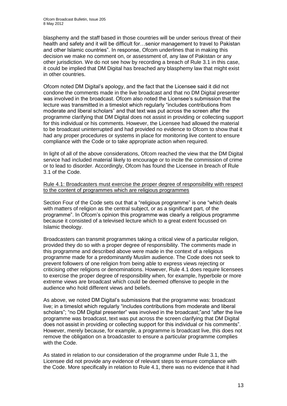blasphemy and the staff based in those countries will be under serious threat of their health and safety and it will be difficult for…senior management to travel to Pakistan and other Islamic countries". In response, Ofcom underlines that in making this decision we make no comment on, or assessment of, any law of Pakistan or any other jurisdiction. We do not see how by recording a breach of Rule 3.1 in this case, it could be implied that DM Digital has breached any blasphemy law that might exist in other countries.

Ofcom noted DM Digital"s apology, and the fact that the Licensee said it did not condone the comments made in the live broadcast and that no DM Digital presenter was involved in the broadcast. Ofcom also noted the Licensee's submission that the lecture was transmitted in a timeslot which regularly "includes contributions from moderate and liberal scholars" and that text was put across the screen after the programme clarifying that DM Digital does not assist in providing or collecting support for this individual or his comments. However, the Licensee had allowed the material to be broadcast uninterrupted and had provided no evidence to Ofcom to show that it had any proper procedures or systems in place for monitoring live content to ensure compliance with the Code or to take appropriate action when required.

In light of all of the above considerations, Ofcom reached the view that the DM Digital service had included material likely to encourage or to incite the commission of crime or to lead to disorder. Accordingly, Ofcom has found the Licensee in breach of Rule 3.1 of the Code.

#### Rule 4.1: Broadcasters must exercise the proper degree of responsibility with respect to the content of programmes which are religious programmes

Section Four of the Code sets out that a "religious programme" is one "which deals with matters of religion as the central subject, or as a significant part, of the programme". In Ofcom"s opinion this programme was clearly a religious programme because it consisted of a televised lecture which to a great extent focussed on Islamic theology.

Broadcasters can transmit programmes taking a critical view of a particular religion, provided they do so with a proper degree of responsibility. The comments made in this programme and described above were made in the context of a religious programme made for a predominantly Muslim audience. The Code does not seek to prevent followers of one religion from being able to express views rejecting or criticising other religions or denominations. However, Rule 4.1 does require licensees to exercise the proper degree of responsibility when, for example, hyperbole or more extreme views are broadcast which could be deemed offensive to people in the audience who hold different views and beliefs.

As above, we noted DM Digital"s submissions that the programme was: broadcast live; in a timeslot which regularly "includes contributions from moderate and liberal scholars"; "no DM Digital presenter" was involved in the broadcast;"and "after the live programme was broadcast, text was put across the screen clarifying that DM Digital does not assist in providing or collecting support for this individual or his comments". However, merely because, for example, a programme is broadcast live, this does not remove the obligation on a broadcaster to ensure a particular programme complies with the Code.

As stated in relation to our consideration of the programme under Rule 3.1, the Licensee did not provide any evidence of relevant steps to ensure compliance with the Code. More specifically in relation to Rule 4.1, there was no evidence that it had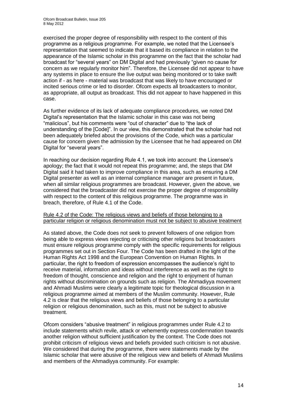exercised the proper degree of responsibility with respect to the content of this programme as a religious programme. For example, we noted that the Licensee"s representation that seemed to indicate that it based its compliance in relation to the appearance of the Islamic scholar in this programme on the fact that the scholar had broadcast for "several years" on DM Digital and had previously "given no cause for concern as we regularly monitor him". Therefore, the Licensee did not appear to have any systems in place to ensure the live output was being monitored or to take swift action if - as here - material was broadcast that was likely to have encouraged or incited serious crime or led to disorder. Ofcom expects all broadcasters to monitor, as appropriate, all output as broadcast. This did not appear to have happened in this case.

As further evidence of its lack of adequate compliance procedures, we noted DM Digital"s representation that the Islamic scholar in this case was not being "malicious", but his comments were "out of character" due to "the lack of understanding of the [Code]". In our view, this demonstrated that the scholar had not been adequately briefed about the provisions of the Code, which was a particular cause for concern given the admission by the Licensee that he had appeared on DM Digital for "several years".

In reaching our decision regarding Rule 4.1, we took into account: the Licensee"s apology; the fact that it would not repeat this programme; and, the steps that DM Digital said it had taken to improve compliance in this area, such as ensuring a DM Digital presenter as well as an internal compliance manager are present in future, when all similar religious programmes are broadcast. However, given the above, we considered that the broadcaster did not exercise the proper degree of responsibility with respect to the content of this religious programme. The programme was in breach, therefore, of Rule 4.1 of the Code.

#### Rule 4.2 of the Code: The religious views and beliefs of those belonging to a particular religion or religious denomination must not be subject to abusive treatment

As stated above, the Code does not seek to prevent followers of one religion from being able to express views rejecting or criticising other religions but broadcasters must ensure religious programme comply with the specific requirements for religious programmes set out in Section Four. The Code has been drafted in the light of the Human Rights Act 1998 and the European Convention on Human Rights. In particular, the right to freedom of expression encompasses the audience"s right to receive material, information and ideas without interference as well as the right to freedom of thought, conscience and religion and the right to enjoyment of human rights without discrimination on grounds such as religion. The Ahmadiyya movement and Ahmadi Muslims were clearly a legitimate topic for theological discussion in a religious programme aimed at members of the Muslim community. However, Rule 4.2 is clear that the religious views and beliefs of those belonging to a particular religion or religious denomination, such as this, must not be subject to abusive treatment.

Ofcom considers "abusive treatment" in religious programmes under Rule 4.2 to include statements which revile, attack or vehemently express condemnation towards another religion without sufficient justification by the context. The Code does not prohibit criticism of religious views and beliefs provided such criticism is not abusive. We considered that during the programme, there were statements made by the Islamic scholar that were abusive of the religious view and beliefs of Ahmadi Muslims and members of the Ahmadiyya community. For example: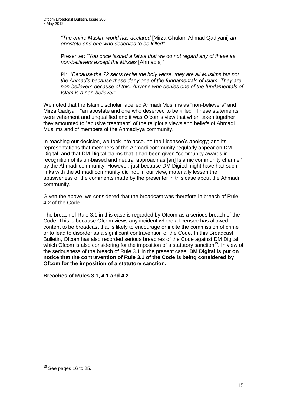*"The entire Muslim world has declared* [Mirza Ghulam Ahmad Qadiyani] *an apostate and one who deserves to be killed".* 

Presenter: *"You once issued a fatwa that we do not regard any of these as non-believers except the Mirzais* [Ahmadis]*".* 

Pir: *"Because the 72 sects recite the holy verse, they are all Muslims but not the Ahmadis because these deny one of the fundamentals of Islam. They are non-believers because of this. Anyone who denies one of the fundamentals of Islam is a non-believer".* 

We noted that the Islamic scholar labelled Ahmadi Muslims as "non-believers" and Mirza Qadiyani "an apostate and one who deserved to be killed". These statements were vehement and unqualified and it was Ofcom's view that when taken together they amounted to "abusive treatment" of the religious views and beliefs of Ahmadi Muslims and of members of the Ahmadiyya community.

In reaching our decision, we took into account: the Licensee's apology; and its representations that members of the Ahmadi community regularly appear on DM Digital, and that DM Digital claims that it had been given "community awards in recognition of its un-biased and neutral approach as [an] Islamic community channel" by the Ahmadi community. However, just because DM Digital might have had such links with the Ahmadi community did not, in our view, materially lessen the abusiveness of the comments made by the presenter in this case about the Ahmadi community.

Given the above, we considered that the broadcast was therefore in breach of Rule 4.2 of the Code.

The breach of Rule 3.1 in this case is regarded by Ofcom as a serious breach of the Code. This is because Ofcom views any incident where a licensee has allowed content to be broadcast that is likely to encourage or incite the commission of crime or to lead to disorder as a significant contravention of the Code. In this Broadcast Bulletin, Ofcom has also recorded serious breaches of the Code against DM Digital, which Ofcom is also considering for the imposition of a statutory sanction<sup>15</sup>. In view of the seriousness of the breach of Rule 3.1 in the present case, **DM Digital is put on notice that the contravention of Rule 3.1 of the Code is being considered by Ofcom for the imposition of a statutory sanction.**

**Breaches of Rules 3.1, 4.1 and 4.2**

<sup>1</sup>  $15$  See pages 16 to 25.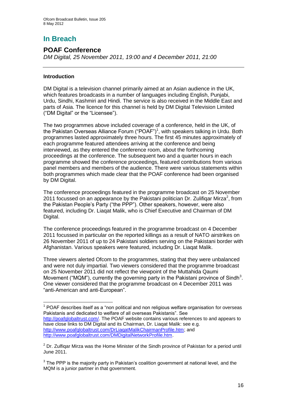# **In Breach**

## **POAF Conference**

*DM Digital, 25 November 2011, 19:00 and 4 December 2011, 21:00*

#### **Introduction**

1

DM Digital is a television channel primarily aimed at an Asian audience in the UK, which features broadcasts in a number of languages including English, Punjabi, Urdu, Sindhi, Kashmiri and Hindi. The service is also received in the Middle East and parts of Asia. The licence for this channel is held by DM Digital Television Limited ("DM Digital" or the "Licensee").

The two programmes above included coverage of a conference, held in the UK, of the Pakistan Overseas Alliance Forum ("POAF")<sup>1</sup>, with speakers talking in Urdu. Both programmes lasted approximately three hours. The first 45 minutes approximately of each programme featured attendees arriving at the conference and being interviewed, as they entered the conference room, about the forthcoming proceedings at the conference. The subsequent two and a quarter hours in each programme showed the conference proceedings, featured contributions from various panel members and members of the audience. There were various statements within both programmes which made clear that the POAF conference had been organised by DM Digital.

The conference proceedings featured in the programme broadcast on 25 November 2011 focussed on an appearance by the Pakistani politician Dr. Zulifiqar Mirza<sup>2</sup>, from the Pakistan People"s Party ("the PPP"). Other speakers, however, were also featured, including Dr. Liaqat Malik, who is Chief Executive and Chairman of DM Digital.

The conference proceedings featured in the programme broadcast on 4 December 2011 focussed in particular on the reported killings as a result of NATO airstrikes on 26 November 2011 of up to 24 Pakistani soldiers serving on the Pakistani border with Afghanistan. Various speakers were featured, including Dr. Liaqat Malik.

Three viewers alerted Ofcom to the programmes, stating that they were unbalanced and were not duly impartial. Two viewers considered that the programme broadcast on 25 November 2011 did not reflect the viewpoint of the Muttahida Qaumi Movement ("MQM"), currently the governing party in the Pakistani province of Sindh<sup>3</sup>. One viewer considered that the programme broadcast on 4 December 2011 was "anti-American and anti-European".

 $1$  POAF describes itself as a "non political and non religious welfare organisation for overseas Pakistanis and dedicated to welfare of all overseas Pakistanis". See [http://poafglobaltrust.com/.](http://poafglobaltrust.com/) The POAF website contains various references to and appears to have close links to DM Digital and its Chairman, Dr. Liaqat Malik: see e.g. [http://www.poafglobaltrust.com/DrLiaqatMalikChairmanProfile.htm;](http://www.poafglobaltrust.com/DrLiaqatMalikChairmanProfile.htm) and [http://www.poafglobaltrust.com/DMDigitalNetworkProfile.htm.](http://www.poafglobaltrust.com/DMDigitalNetworkProfile.htm)

 $2$  Dr. Zulfigar Mirza was the Home Minister of the Sindh province of Pakistan for a period until June 2011.

 $3$  The PPP is the majority party in Pakistan's coalition government at national level, and the MQM is a junior partner in that government.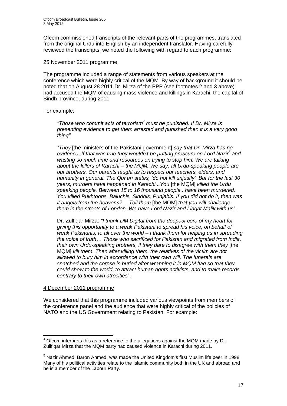Ofcom commissioned transcripts of the relevant parts of the programmes, translated from the original Urdu into English by an independent translator. Having carefully reviewed the transcripts, we noted the following with regard to each programme:

#### 25 November 2011 programme

The programme included a range of statements from various speakers at the conference which were highly critical of the MQM. By way of background it should be noted that on August 28 2011 Dr. Mirza of the PPP (see footnotes 2 and 3 above) had accused the MQM of causing mass violence and killings in Karachi, the capital of Sindh province, during 2011.

#### For example:

*"Those who commit acts of terrorism<sup>4</sup> must be punished. If Dr. Mirza is presenting evidence to get them arrested and punished then it is a very good thing"*.

*"They* [the ministers of the Pakistani government] *say that Dr. Mirza has no evidence. If that was true they wouldn"t be putting pressure on Lord Nazir<sup>5</sup> and wasting so much time and resources on trying to stop him. We are talking about the killers of Karachi – the MQM. We say, all Urdu-speaking people are our brothers. Our parents taught us to respect our teachers, elders, and humanity in general. The Qur"an states, "do not kill unjustly". But for the last 30 years, murders have happened in Karachi...You* [the MQM] *killed the Urdu speaking people. Between 15 to 16 thousand people...have been murdered. You killed Pukhtoons, Baluchis, Sindhis, Punjabis. If you did not do it, then was it angels from the heavens? …Tell them* [the MQM] *that you will challenge them in the streets of London. We have Lord Nazir and Liaqat Malik with us*".

Dr. Zulfiqar Mirza: *"I thank DM Digital from the deepest core of my heart for giving this opportunity to a weak Pakistani to spread his voice, on behalf of weak Pakistanis, to all over the world – I thank them for helping us in spreading the voice of truth… Those who sacrificed for Pakistan and migrated from India, their own Urdu-speaking brothers, if they dare to disagree with them they* [the MQM] *kill them. Then after killing them, the relatives of the victim are not allowed to bury him in accordance with their own will. The funerals are snatched and the corpse is buried after wrapping it in MQM flag so that they could show to the world, to attract human rights activists, and to make records contrary to their own atrocities*".

#### 4 December 2011 programme

We considered that this programme included various viewpoints from members of the conference panel and the audience that were highly critical of the policies of NATO and the US Government relating to Pakistan. For example:

<sup>1</sup>  $4$  Ofcom interprets this as a reference to the allegations against the MQM made by Dr. Zulifiqar Mirza that the MQM party had caused violence in Karachi during 2011.

 $<sup>5</sup>$  Nazir Ahmed. Baron Ahmed, was made the [United Kingdom's](http://en.wikipedia.org/wiki/United_Kingdom) first [Muslim](http://en.wikipedia.org/wiki/Muslim) [life peer](http://en.wikipedia.org/wiki/Life_peer) in 1998.</sup> Many of his political activities relate to the [Islamic](http://en.wikipedia.org/wiki/Islamic) community both in the UK and abroad and he is a member of the [Labour](http://en.wikipedia.org/wiki/Labour_Party_(UK)) Party.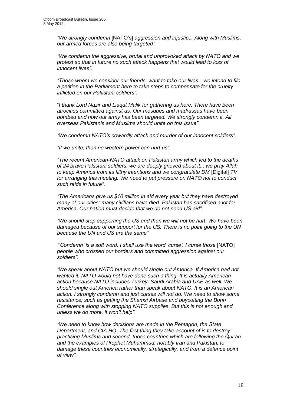*"We strongly condemn* [NATO"s] *aggression and injustice. Along with Muslims, our armed forces are also being targeted".*

*"We condemn the aggressive, brutal and unprovoked attack by NATO and we protest so that in future no such attack happens that would lead to loss of innocent lives"*.

*"Those whom we consider our friends, want to take our lives…we intend to file a petition in the Parliament here to take steps to compensate for the cruelty inflicted on our Pakistani soldiers"*.

"*I thank Lord Nazir and Liaqat Malik for gathering us here. There have been atrocities committed against us. Our mosques and madrassas have been bombed and now our army has been targeted. We strongly condemn it. All overseas Pakistanis and Muslims should unite on this issue"*.

*"We condemn NATO"s cowardly attack and murder of our innocent soldiers"*.

*"If we unite, then no western power can hurt us"*.

*"The recent American-NATO attack on Pakistan army which led to the deaths of 24 brave Pakistani soldiers, we are deeply grieved about it... we pray Allah to keep America from its filthy intentions and we congratulate DM* [Digital] *TV for arranging this meeting. We need to put pressure on NATO not to conduct such raids in future"*.

*"The Americans give us \$10 million in aid every year but they have destroyed many of our cities; many civilians have died. Pakistan has sacrificed a lot for America. Our nation must decide that we do not need US aid"*.

*"We should stop supporting the US and then we will not be hurt. We have been damaged because of our support for the US. There is no point going to the UN because the UN and US are the same"*.

*""Condemn" is a soft word. I shall use the word "curse". I curse those* [NATO] *people who crossed our borders and committed aggression against our soldiers"*.

*"We speak about NATO but we should single out America. If America had not wanted it, NATO would not have done such a thing. It is actually American action because NATO includes Turkey, Saudi Arabia and UAE as well. We should single out America rather than speak about NATO. It is an American action. I strongly condemn and just curses will not do. We need to show some resistance; such as getting the Shamsi Airbase and boycotting the Bonn Conference along with stopping NATO supplies. But this is not enough and unless we do more, it won"t help"*.

*"We need to know how decisions are made in the Pentagon, the State Department, and CIA HQ. The first thing they take account of is to destroy practising Muslims and second, those countries which are following the Qur"an and the examples of Prophet Muhammad, notably Iran and Pakistan, to damage these countries economically, strategically, and from a defence point of view"*.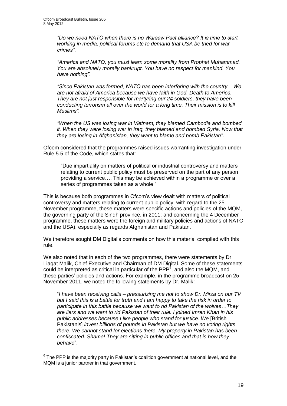1

*"Do we need NATO when there is no Warsaw Pact alliance? It is time to start working in media, political forums etc to demand that USA be tried for war crimes"*.

*"America and NATO, you must learn some morality from Prophet Muhammad. You are absolutely morally bankrupt. You have no respect for mankind. You have nothing"*.

*"Since Pakistan was formed, NATO has been interfering with the country... We are not afraid of America because we have faith in God. Death to America. They are not just responsible for martyring our 24 soldiers, they have been conducting terrorism all over the world for a long time. Their mission is to kill Muslims"*.

*"When the US was losing war in Vietnam, they blamed Cambodia and bombed it. When they were losing war in Iraq, they blamed and bombed Syria. Now that they are losing in Afghanistan, they want to blame and bomb Pakistan"*.

Ofcom considered that the programmes raised issues warranting investigation under Rule 5.5 of the Code, which states that:

"Due impartiality on matters of political or industrial controversy and matters relating to current public policy must be preserved on the part of any person providing a service…. This may be achieved within a programme or over a series of programmes taken as a whole."

This is because both programmes in Ofcom"s view dealt with matters of political controversy and matters relating to current public policy: with regard to the 25 November programme, these matters were specific actions and policies of the MQM, the governing party of the Sindh province, in 2011; and concerning the 4 December programme, these matters were the foreign and military policies and actions of NATO and the USA), especially as regards Afghanistan and Pakistan.

We therefore sought DM Digital's comments on how this material complied with this rule.

We also noted that in each of the two programmes, there were statements by Dr. Liaqat Malik, Chief Executive and Chairman of DM Digital. Some of these statements could be interpreted as critical in particular of the PPP $\overline{6}$ , and also the MQM, and these parties" policies and actions. For example, in the programme broadcast on 25 November 2011, we noted the following statements by Dr. Malik:

"*I have been receiving calls – pressurizing me not to show Dr. Mirza on our TV but I said this is a battle for truth and I am happy to take the risk in order to participate in this battle because we want to rid Pakistan of the wolves…They are liars and we want to rid Pakistan of their rule. I joined Imran Khan in his public addresses because I like people who stand for justice. We* [British Pakistanis] *invest billions of pounds in Pakistan but we have no voting rights there. We cannot stand for elections there. My property in Pakistan has been confiscated. Shame! They are sitting in public offices and that is how they behave*".

 $6$  The PPP is the majority party in Pakistan's coalition government at national level, and the MQM is a junior partner in that government.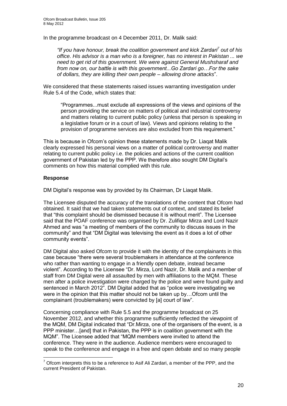In the programme broadcast on 4 December 2011, Dr. Malik said:

*"If you have honour, break the coalition government and kick Zardari<sup>7</sup> out of his office. His advisor is a man who is a foreigner, has no interest in Pakistan ... we need to get rid of this government. We were against General Mushsharaf and from now on, our battle is with this government...Go Zardari go…For the sake of dollars, they are killing their own people – allowing drone attacks*".

We considered that these statements raised issues warranting investigation under Rule 5.4 of the Code, which states that:

"Programmes...must exclude all expressions of the views and opinions of the person providing the service on matters of political and industrial controversy and matters relating to current public policy (unless that person is speaking in a legislative forum or in a court of law). Views and opinions relating to the provision of programme services are also excluded from this requirement."

This is because in Ofcom"s opinion these statements made by Dr. Liaqat Malik clearly expressed his personal views on a matter of political controversy and matter relating to current public policy i.e. the policies and actions of the current coalition government of Pakistan led by the PPP. We therefore also sought DM Digital"s comments on how this material complied with this rule.

#### **Response**

1

DM Digital"s response was by provided by its Chairman, Dr Liaqat Malik.

The Licensee disputed the accuracy of the translations of the content that Ofcom had obtained. It said that we had taken statements out of context, and stated its belief that "this complaint should be dismissed because it is without merit". The Licensee said that the POAF conference was organised by Dr. Zulifiqar Mirza and Lord Nazir Ahmed and was "a meeting of members of the community to discuss issues in the community" and that "DM Digital was televising the event as it does a lot of other community events".

DM Digital also asked Ofcom to provide it with the identity of the complainants in this case because "there were several troublemakers in attendance at the conference who rather than wanting to engage in a friendly open debate, instead became violent". According to the Licensee "Dr. Mirza, Lord Nazir, Dr. Malik and a member of staff from DM Digital were all assaulted by men with affiliations to the MQM. These men after a police investigation were charged by the police and were found guilty and sentenced in March 2012". DM Digital added that as "police were investigating we were in the opinion that this matter should not be taken up by…Ofcom until the complainant (troublemakers) were convicted by [a] court of law".

Concerning compliance with Rule 5.5 and the programme broadcast on 25 November 2012, and whether this programme sufficiently reflected the viewpoint of the MQM, DM Digital indicated that "Dr.Mirza, one of the organisers of the event, is a PPP minister…[and] that in Pakistan, the PPP is in coalition government with the MQM". The Licensee added that "MQM members were invited to attend the conference. They were in the audience. Audience members were encouraged to speak to the conference and engage in a free and open debate and so many people

 $7$  Ofcom interprets this to be a reference to Asif Ali Zardari, a member of the PPP, and the current President of Pakistan.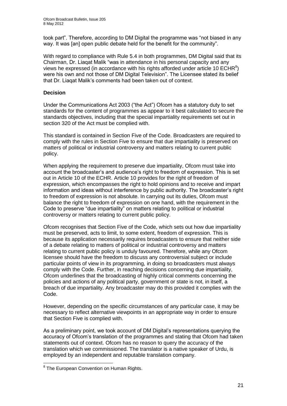took part". Therefore, according to DM Digital the programme was "not biased in any way. It was [an] open public debate held for the benefit for the community".

With regard to compliance with Rule 5.4 in both programmes, DM Digital said that its Chairman, Dr. Liaqat Malik "was in attendance in his personal capacity and any views he expressed (in accordance with his rights afforded under article 10  $ECHR<sup>8</sup>$ ) were his own and not those of DM Digital Television". The Licensee stated its belief that Dr. Liaqat Malik"s comments had been taken out of context.

#### **Decision**

Under the Communications Act 2003 ("the Act") Ofcom has a statutory duty to set standards for the content of programmes as appear to it best calculated to secure the standards objectives, including that the special impartiality requirements set out in section 320 of the Act must be complied with.

This standard is contained in Section Five of the Code. Broadcasters are required to comply with the rules in Section Five to ensure that due impartiality is preserved on matters of political or industrial controversy and matters relating to current public policy.

When applying the requirement to preserve due impartiality, Ofcom must take into account the broadcaster"s and audience"s right to freedom of expression. This is set out in Article 10 of the ECHR. Article 10 provides for the right of freedom of expression, which encompasses the right to hold opinions and to receive and impart information and ideas without interference by public authority. The broadcaster"s right to freedom of expression is not absolute. In carrying out its duties, Ofcom must balance the right to freedom of expression on one hand, with the requirement in the Code to preserve "due impartiality" on matters relating to political or industrial controversy or matters relating to current public policy.

Ofcom recognises that Section Five of the Code, which sets out how due impartiality must be preserved, acts to limit, to some extent, freedom of expression. This is because its application necessarily requires broadcasters to ensure that neither side of a debate relating to matters of political or industrial controversy and matters relating to current public policy is unduly favoured. Therefore, while any Ofcom licensee should have the freedom to discuss any controversial subject or include particular points of view in its programming, in doing so broadcasters must always comply with the Code. Further, in reaching decisions concerning due impartiality, Ofcom underlines that the broadcasting of highly critical comments concerning the policies and actions of any political party, government or state is not, in itself, a breach of due impartiality. Any broadcaster may do this provided it complies with the Code.

However, depending on the specific circumstances of any particular case, it may be necessary to reflect alternative viewpoints in an appropriate way in order to ensure that Section Five is complied with.

As a preliminary point, we took account of DM Digital's representations querying the accuracy of Ofcom"s translation of the programmes and stating that Ofcom had taken statements out of context. Ofcom has no reason to query the accuracy of the translation which we commissioned. The translator is a native speaker of Urdu, is employed by an independent and reputable translation company.

 8 The European Convention on Human Rights.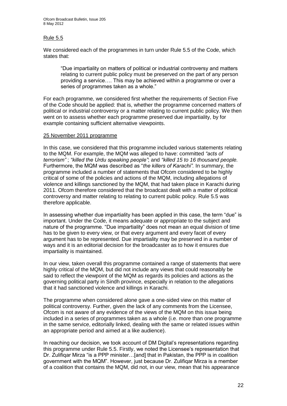#### Rule 5.5

We considered each of the programmes in turn under Rule 5.5 of the Code, which states that:

"Due impartiality on matters of political or industrial controversy and matters relating to current public policy must be preserved on the part of any person providing a service…. This may be achieved within a programme or over a series of programmes taken as a whole."

For each programme, we considered first whether the requirements of Section Five of the Code should be applied: that is, whether the programme concerned matters of political or industrial controversy or a matter relating to current public policy. We then went on to assess whether each programme preserved due impartiality, by for example containing sufficient alternative viewpoints.

#### 25 November 2011 programme

In this case, we considered that this programme included various statements relating to the MQM. For example, the MQM was alleged to have: committed *"acts of terrorism"* ; *"killed the Urdu speaking people"*; and *"killed 15 to 16 thousand people.* Furthermore, the MQM was described as "*the killers of Karachi".* In summary, the programme included a number of statements that Ofcom considered to be highly critical of some of the policies and actions of the MQM, including allegations of violence and killings sanctioned by the MQM, that had taken place in Karachi during 2011. Ofcom therefore considered that the broadcast dealt with a matter of political controversy and matter relating to relating to current public policy. Rule 5.5 was therefore applicable.

In assessing whether due impartiality has been applied in this case, the term "due" is important. Under the Code, it means adequate or appropriate to the subject and nature of the programme. "Due impartiality" does not mean an equal division of time has to be given to every view, or that every argument and every facet of every argument has to be represented. Due impartiality may be preserved in a number of ways and it is an editorial decision for the broadcaster as to how it ensures due impartiality is maintained.

In our view, taken overall this programme contained a range of statements that were highly critical of the MQM, but did not include any views that could reasonably be said to reflect the viewpoint of the MQM as regards its policies and actions as the governing political party in Sindh province, especially in relation to the allegations that it had sanctioned violence and killings in Karachi.

The programme when considered alone gave a one-sided view on this matter of political controversy. Further, given the lack of any comments from the Licensee, Ofcom is not aware of any evidence of the views of the MQM on this issue being included in a series of programmes taken as a whole (i.e. more than one programme in the same service, editorially linked, dealing with the same or related issues within an appropriate period and aimed at a like audience).

In reaching our decision, we took account of DM Digital's representations regarding this programme under Rule 5.5. Firstly, we noted the Licensee"s representation that Dr. Zulifiqar Mirza "is a PPP minister…[and] that in Pakistan, the PPP is in coalition government with the MQM". However, just because Dr. Zulifiqar Mirza is a member of a coalition that contains the MQM, did not, in our view, mean that his appearance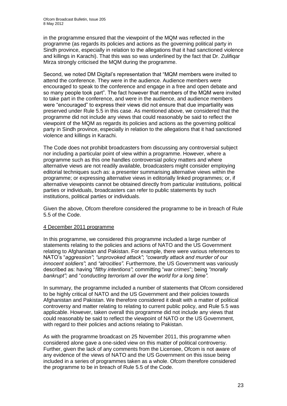in the programme ensured that the viewpoint of the MQM was reflected in the programme (as regards its policies and actions as the governing political party in Sindh province, especially in relation to the allegations that it had sanctioned violence and killings in Karachi). That this was so was underlined by the fact that Dr. Zulifiqar Mirza strongly criticised the MQM during the programme.

Second, we noted DM Digital"s representation that "MQM members were invited to attend the conference. They were in the audience. Audience members were encouraged to speak to the conference and engage in a free and open debate and so many people took part". The fact however that members of the MQM were invited to take part in the conference, and were in the audience, and audience members were "encouraged" to express their views did not ensure that due impartiality was preserved under Rule 5.5 in this case. As mentioned above, we considered that the programme did not include any views that could reasonably be said to reflect the viewpoint of the MQM as regards its policies and actions as the governing political party in Sindh province, especially in relation to the allegations that it had sanctioned violence and killings in Karachi.

The Code does not prohibit broadcasters from discussing any controversial subject nor including a particular point of view within a programme. However, where a programme such as this one handles controversial policy matters and where alternative views are not readily available, broadcasters might consider employing editorial techniques such as: a presenter summarising alternative views within the programme; or expressing alternative views in editorially linked programmes; or, if alternative viewpoints cannot be obtained directly from particular institutions, political parties or individuals, broadcasters can refer to public statements by such institutions, political parties or individuals.

Given the above, Ofcom therefore considered the programme to be in breach of Rule 5.5 of the Code.

#### 4 December 2011 programme

In this programme, we considered this programme included a large number of statements relating to the policies and actions of NATO and the US Government relating to Afghanistan and Pakistan. For example, there were various references to NATO"s "*aggression"*; *"unprovoked attack"*; *"cowardly attack and murder of our innocent soldiers"*; and *"atrocities"*. Furthermore, the US Government was variously described as: having "*filthy intentions"*; committing "*war crimes*"; being *"morally bankrupt";* and "*conducting terrorism all over the world for a long time".* 

In summary, the programme included a number of statements that Ofcom considered to be highly critical of NATO and the US Government and their policies towards Afghanistan and Pakistan. We therefore considered it dealt with a matter of political controversy and matter relating to relating to current public policy, and Rule 5.5 was applicable. However, taken overall this programme did not include any views that could reasonably be said to reflect the viewpoint of NATO or the US Government, with regard to their policies and actions relating to Pakistan.

As with the programme broadcast on 25 November 2011, this programme when considered alone gave a one-sided view on this matter of political controversy. Further, given the lack of any comments from the Licensee, Ofcom is not aware of any evidence of the views of NATO and the US Government on this issue being included in a series of programmes taken as a whole. Ofcom therefore considered the programme to be in breach of Rule 5.5 of the Code.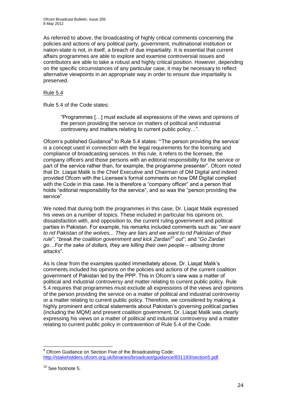As referred to above, the broadcasting of highly critical comments concerning the policies and actions of any political party, government, multinational institution or nation-state is not, in itself, a breach of due impartiality. It is essential that current affairs programmes are able to explore and examine controversial issues and contributors are able to take a robust and highly critical position. However, depending on the specific circumstances of any particular case, it may be necessary to reflect alternative viewpoints in an appropriate way in order to ensure due impartiality is preserved.

#### Rule 5.4

Rule 5.4 of the Code states:

"Programmes […] must exclude all expressions of the views and opinions of the person providing the service on matters of political and industrial controversy and matters relating to current public policy…".

Ofcom's published Guidance<sup>9</sup> to Rule 5.4 states: "The person providing the service' is a concept used in connection with the legal requirements for the licensing and compliance of broadcasting services. In this rule, it refers to the licensee, the company officers and those persons with an editorial responsibility for the service or part of the service rather than, for example, the programme presenter"*.* Ofcom noted that Dr. Liaqat Malik is the Chief Executive and Chairman of DM Digital and indeed provided Ofcom with the Licensee"s formal comments on how DM Digital complied with the Code in this case. He is therefore a "company officer" and a person that holds "editorial responsibility for the service", and so was the "person providing the service".

We noted that during both the programmes in this case, Dr. Liaqat Malik expressed his views on a number of topics. These included in particular his opinions on, dissatisfaction with, and opposition to, the current ruling government and political parties in Pakistan. For example, his remarks included comments such as: "*we want to rid Pakistan of the wolves... They are liars and we want to rid Pakistan of their rule*"; "*break the coalition government and kick Zardari<sup>10</sup> out*"; and "*Go Zardari go…For the sake of dollars, they are killing their own people – allowing drone attacks*".

As is clear from the examples quoted immediately above, Dr. Liaqat Malik"s comments included his opinions on the policies and actions of the current coalition government of Pakistan led by the PPP. This in Ofcom"s view was a matter of political and industrial controversy and matter relating to current public policy. Rule 5.4 requires that programmes must exclude all expressions of the views and opinions of the person providing the service on a matter of political and industrial controversy or a matter relating to current public policy. Therefore, we considered by making a highly prominent and critical statements about Pakistan's governing political parties (including the MQM) and present coalition government, Dr. Liaqat Malik was clearly expressing his views on a matter of political and industrial controversy and a matter relating to current public policy in contravention of Rule 5.4 of the Code.

<sup>1</sup> <sup>9</sup> Ofcom Guidance on Section Five of the Broadcasting Code: [http://stakeholders.ofcom.org.uk/binaries/broadcast/guidance/831193/section5.pdf.](http://stakeholders.ofcom.org.uk/binaries/broadcast/guidance/831193/section5.pdf)

<sup>&</sup>lt;sup>10</sup> See footnote 5.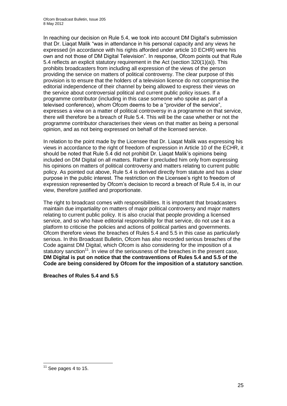In reaching our decision on Rule 5.4, we took into account DM Digital"s submission that Dr. Liaqat Malik "was in attendance in his personal capacity and any views he expressed (in accordance with his rights afforded under article 10 ECHR) were his own and not those of DM Digital Television". In response, Ofcom points out that Rule 5.4 reflects an explicit statutory requirement in the Act (section 320(1)(a)). This prohibits broadcasters from including all expression of the views of the person providing the service on matters of political controversy. The clear purpose of this provision is to ensure that the holders of a television licence do not compromise the editorial independence of their channel by being allowed to express their views on the service about controversial political and current public policy issues. If a programme contributor (including in this case someone who spoke as part of a televised conference), whom Ofcom deems to be a "provider of the service", expresses a view on a matter of political controversy in a programme on that service, there will therefore be a breach of Rule 5.4. This will be the case whether or not the programme contributor characterises their views on that matter as being a personal opinion, and as not being expressed on behalf of the licensed service.

In relation to the point made by the Licensee that Dr. Liaqat Malik was expressing his views in accordance to the right of freedom of expression in Article 10 of the ECHR, it should be noted that Rule 5.4 did not prohibit Dr. Liaqat Malik"s opinions being included on DM Digital on all matters. Rather it precluded him only from expressing his opinions on matters of political controversy and matters relating to current public policy. As pointed out above, Rule 5.4 is derived directly from statute and has a clear purpose in the public interest. The restriction on the Licensee"s right to freedom of expression represented by Ofcom"s decision to record a breach of Rule 5.4 is, in our view, therefore justified and proportionate.

The right to broadcast comes with responsibilities. It is important that broadcasters maintain due impartiality on matters of major political controversy and major matters relating to current public policy. It is also crucial that people providing a licensed service, and so who have editorial responsibility for that service, do not use it as a platform to criticise the policies and actions of political parties and governments. Ofcom therefore views the breaches of Rules 5.4 and 5.5 in this case as particularly serious. In this Broadcast Bulletin, Ofcom has also recorded serious breaches of the Code against DM Digital, which Ofcom is also considering for the imposition of a statutory sanction<sup>11</sup>. In view of the seriousness of the breaches in the present case, **DM Digital is put on notice that the contraventions of Rules 5.4 and 5.5 of the Code are being considered by Ofcom for the imposition of a statutory sanction**.

**Breaches of Rules 5.4 and 5.5**

<sup>1</sup>  $11$  See pages 4 to 15.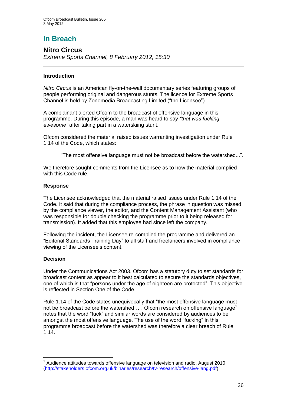# **In Breach**

## **Nitro Circus**

*Extreme Sports Channel, 8 February 2012, 15:30*

#### **Introduction**

*Nitro Circus* is an American fly-on-the-wall documentary series featuring groups of people performing original and dangerous stunts. The licence for Extreme Sports Channel is held by Zonemedia Broadcasting Limited ("the Licensee").

A complainant alerted Ofcom to the broadcast of offensive language in this programme. During this episode, a man was heard to say *"that was fucking awesome"* after taking part in a waterskiing stunt.

Ofcom considered the material raised issues warranting investigation under Rule 1.14 of the Code, which states:

"The most offensive language must not be broadcast before the watershed...".

We therefore sought comments from the Licensee as to how the material complied with this Code rule.

#### **Response**

The Licensee acknowledged that the material raised issues under Rule 1.14 of the Code. It said that during the compliance process, the phrase in question was missed by the compliance viewer, the editor, and the Content Management Assistant (who was responsible for double checking the programme prior to it being released for transmission). It added that this employee had since left the company.

Following the incident, the Licensee re-complied the programme and delivered an "Editorial Standards Training Day" to all staff and freelancers involved in compliance viewing of the Licensee's content.

#### **Decision**

1

Under the Communications Act 2003, Ofcom has a statutory duty to set standards for broadcast content as appear to it best calculated to secure the standards objectives, one of which is that "persons under the age of eighteen are protected". This objective is reflected in Section One of the Code.

Rule 1.14 of the Code states unequivocally that "the most offensive language must not be broadcast before the watershed...". Ofcom research on offensive language<sup>1</sup> notes that the word "fuck" and similar words are considered by audiences to be amongst the most offensive language. The use of the word "fucking" in this programme broadcast before the watershed was therefore a clear breach of Rule 1.14.

 $1$  Audience attitudes towards offensive language on television and radio, August 2010 [\(http://stakeholders.ofcom.org.uk/binaries/research/tv-research/offensive-lang.pdf\)](http://stakeholders.ofcom.org.uk/binaries/research/tv-research/offensive-lang.pdf)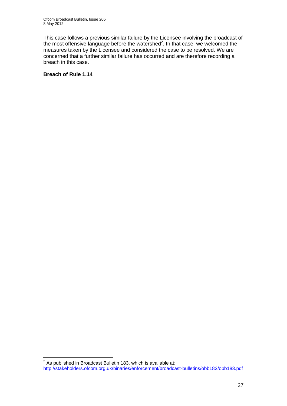This case follows a previous similar failure by the Licensee involving the broadcast of the most offensive language before the watershed<sup>2</sup>. In that case, we welcomed the measures taken by the Licensee and considered the case to be resolved. We are concerned that a further similar failure has occurred and are therefore recording a breach in this case.

#### **Breach of Rule 1.14**

 2 As published in Broadcast Bulletin 183, which is available at: <http://stakeholders.ofcom.org.uk/binaries/enforcement/broadcast-bulletins/obb183/obb183.pdf>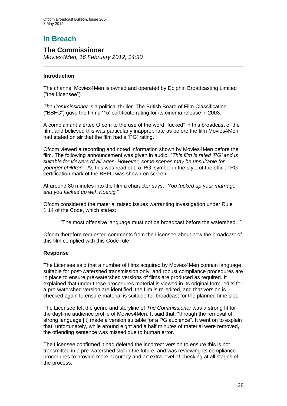# **In Breach**

## **The Commissioner**

*Movies4Men, 16 February 2012, 14:30*

#### **Introduction**

The channel Movies4Men is owned and operated by Dolphin Broadcasting Limited ("the Licensee").

*The Commissioner* is a political thriller. The British Board of Film Classification ("BBFC") gave the film a "15" certificate rating for its cinema release in 2003.

A complainant alerted Ofcom to the use of the word "fucked" in this broadcast of the film, and believed this was particularly inappropriate as before the film Movies4Men had stated on air that the film had a 'PG' rating.

Ofcom viewed a recording and noted information shown by Movies4Men before the film. The following announcement was given in audio, "*This film is rated "PG" and is suitable for viewers of all ages. However, some scenes may be unsuitable for younger children*". As this was read out, a "PG" symbol in the style of the official PG certification mark of the BBFC was shown on screen.

At around 80 minutes into the film a character says, "*You fucked up your marriage. . . and you fucked up with Koenig.*"

Ofcom considered the material raised issues warranting investigation under Rule 1.14 of the Code, which states:

"The most offensive language must not be broadcast before the watershed..."

Ofcom therefore requested comments from the Licensee about how the broadcast of this film complied with this Code rule.

#### **Response**

The Licensee said that a number of films acquired by Movies4Men contain language suitable for post-watershed transmission only, and robust compliance procedures are in place to ensure pre-watershed versions of films are produced as required. It explained that under these procedures material is viewed in its original form, edits for a pre-watershed version are identified, the film is re-edited, and that version is checked again to ensure material is suitable for broadcast for the planned time slot.

The Licensee felt the genre and storyline of *The Commissioner* was a strong fit for the daytime audience profile of Movies4Men. It said that, "through the removal of strong language [it] made a version suitable for a PG audience". It went on to explain that, unfortunately, while around eight and a half minutes of material were removed, the offending sentence was missed due to human error.

The Licensee confirmed it had deleted the incorrect version to ensure this is not transmitted in a pre-watershed slot in the future, and was reviewing its compliance procedures to provide more accuracy and an extra level of checking at all stages of the process.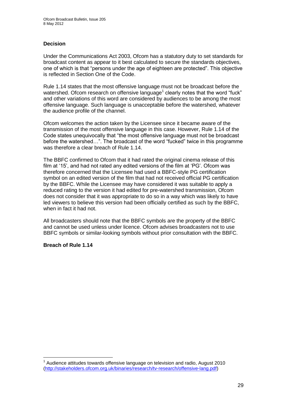#### **Decision**

Under the Communications Act 2003, Ofcom has a statutory duty to set standards for broadcast content as appear to it best calculated to secure the standards objectives, one of which is that "persons under the age of eighteen are protected". This objective is reflected in Section One of the Code.

Rule 1.14 states that the most offensive language must not be broadcast before the watershed. Ofcom research on offensive language<sup>1</sup> clearly notes that the word "fuck" and other variations of this word are considered by audiences to be among the most offensive language. Such language is unacceptable before the watershed, whatever the audience profile of the channel.

Ofcom welcomes the action taken by the Licensee since it became aware of the transmission of the most offensive language in this case. However, Rule 1.14 of the Code states unequivocally that "the most offensive language must not be broadcast before the watershed…". The broadcast of the word "fucked" twice in this programme was therefore a clear breach of Rule 1.14.

The BBFC confirmed to Ofcom that it had rated the original cinema release of this film at '15', and had not rated any edited versions of the film at 'PG'. Ofcom was therefore concerned that the Licensee had used a BBFC-style PG certification symbol on an edited version of the film that had not received official PG certification by the BBFC. While the Licensee may have considered it was suitable to apply a reduced rating to the version it had edited for pre-watershed transmission, Ofcom does not consider that it was appropriate to do so in a way which was likely to have led viewers to believe this version had been officially certified as such by the BBFC, when in fact it had not.

All broadcasters should note that the BBFC symbols are the property of the BBFC and cannot be used unless under licence. Ofcom advises broadcasters not to use BBFC symbols or similar-looking symbols without prior consultation with the BBFC.

#### **Breach of Rule 1.14**

1

 $1$  Audience attitudes towards offensive language on television and radio, August 2010 [\(http://stakeholders.ofcom.org.uk/binaries/research/tv-research/offensive-lang.pdf\)](http://stakeholders.ofcom.org.uk/binaries/research/tv-research/offensive-lang.pdf)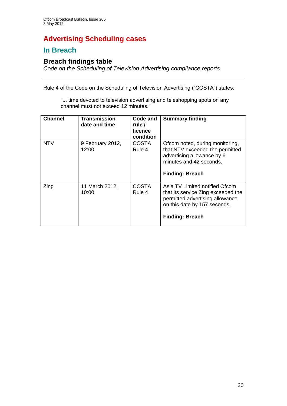# **Advertising Scheduling cases**

## **In Breach**

## **Breach findings table**

*Code on the Scheduling of Television Advertising compliance reports*

Rule 4 of the Code on the Scheduling of Television Advertising ("COSTA") states:

"... time devoted to television advertising and teleshopping spots on any channel must not exceed 12 minutes."

| <b>Channel</b> | <b>Transmission</b><br>date and time | Code and<br>rule /<br>licence<br>condition | <b>Summary finding</b>                                                                                                                                            |
|----------------|--------------------------------------|--------------------------------------------|-------------------------------------------------------------------------------------------------------------------------------------------------------------------|
| <b>NTV</b>     | 9 February 2012,<br>12:00            | <b>COSTA</b><br>Rule 4                     | Ofcom noted, during monitoring,<br>that NTV exceeded the permitted<br>advertising allowance by 6<br>minutes and 42 seconds.<br><b>Finding: Breach</b>             |
| Zing           | 11 March 2012,<br>10:00              | <b>COSTA</b><br>Rule 4                     | Asia TV Limited notified Ofcom<br>that its service Zing exceeded the<br>permitted advertising allowance<br>on this date by 157 seconds.<br><b>Finding: Breach</b> |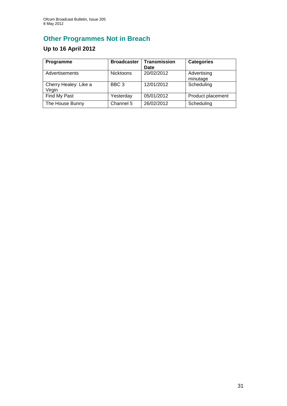# **Other Programmes Not in Breach**

## **Up to 16 April 2012**

| Programme                       | <b>Broadcaster</b> | <b>Transmission</b><br>Date | <b>Categories</b>       |
|---------------------------------|--------------------|-----------------------------|-------------------------|
| Advertisements                  | <b>Nicktoons</b>   | 20/02/2012                  | Advertising<br>minutage |
| Cherry Healey: Like a<br>Virgin | BBC <sub>3</sub>   | 12/01/2012                  | Scheduling              |
| Find My Past                    | Yesterday          | 05/01/2012                  | Product placement       |
| The House Bunny                 | Channel 5          | 26/02/2012                  | Scheduling              |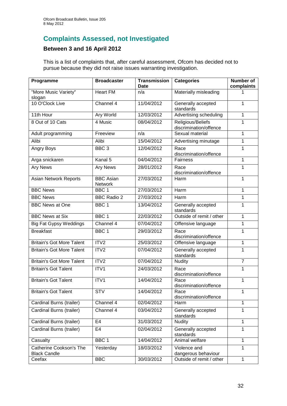## **Complaints Assessed, not Investigated**

## **Between 3 and 16 April 2012**

This is a list of complaints that, after careful assessment, Ofcom has decided not to pursue because they did not raise issues warranting investigation.

| Programme                                             | <b>Broadcaster</b>          | <b>Transmission</b><br><b>Date</b> | <b>Categories</b>                           | <b>Number of</b><br>complaints |
|-------------------------------------------------------|-----------------------------|------------------------------------|---------------------------------------------|--------------------------------|
| "More Music Variety"<br>slogan                        | <b>Heart FM</b>             | n/a                                | Materially misleading                       |                                |
| 10 O'Clock Live                                       | Channel 4                   | 11/04/2012                         | Generally accepted<br>standards             | 1                              |
| 11th Hour                                             | <b>Ary World</b>            | 12/03/2012                         | Advertising scheduling                      | 1                              |
| 8 Out of 10 Cats                                      | 4 Music                     | 08/04/2012                         | Religious/Beliefs<br>discrimination/offence | 1                              |
| Adult programming                                     | Freeview                    | n/a                                | Sexual material                             | 1                              |
| Alibi                                                 | Alibi                       | 15/04/2012                         | Advertising minutage                        | 1                              |
| Angry Boys                                            | BBC <sub>3</sub>            | 12/04/2012                         | Race<br>discrimination/offence              | 1                              |
| Arga snickaren                                        | Kanal 5                     | 04/04/2012                         | Fairness                                    | 1                              |
| <b>Ary News</b>                                       | <b>Ary News</b>             | 28/01/2012                         | Race<br>discrimination/offence              | 1                              |
| <b>Asian Network Reports</b>                          | <b>BBC</b> Asian<br>Network | 27/03/2012                         | Harm                                        | 1                              |
| <b>BBC News</b>                                       | BBC <sub>1</sub>            | 27/03/2012                         | Harm                                        | 1                              |
| <b>BBC News</b>                                       | <b>BBC Radio 2</b>          | 27/03/2012                         | Harm                                        | 1                              |
| <b>BBC News at One</b>                                | BBC <sub>1</sub>            | 13/04/2012                         | Generally accepted<br>standards             | 1                              |
| <b>BBC News at Six</b>                                | BBC <sub>1</sub>            | 22/03/2012                         | Outside of remit / other                    | $\mathbf{1}$                   |
| <b>Big Fat Gypsy Weddings</b>                         | Channel 4                   | 07/04/2012                         | Offensive language                          | 1                              |
| <b>Breakfast</b>                                      | BBC <sub>1</sub>            | 29/03/2012                         | Race<br>discrimination/offence              | 1                              |
| <b>Britain's Got More Talent</b>                      | ITV2                        | 25/03/2012                         | Offensive language                          | 1                              |
| <b>Britain's Got More Talent</b>                      | ITV2                        | 07/04/2012                         | Generally accepted<br>standards             | $\mathbf{1}$                   |
| <b>Britain's Got More Talent</b>                      | ITV2                        | 07/04/2012                         | <b>Nudity</b>                               | $\overline{7}$                 |
| <b>Britain's Got Talent</b>                           | ITV1                        | 24/03/2012                         | Race<br>discrimination/offence              | 1                              |
| <b>Britain's Got Talent</b>                           | ITV1                        | 14/04/2012                         | Race<br>discrimination/offence              | 1                              |
| <b>Britain's Got Talent</b>                           | <b>STV</b>                  | 14/04/2012                         | Race<br>discrimination/offence              | 1                              |
| Cardinal Burns (trailer)                              | Channel 4                   | 02/04/2012                         | Harm                                        | $\mathbf{1}$                   |
| Cardinal Burns (trailer)                              | Channel 4                   | 03/04/2012                         | Generally accepted<br>standards             | 1                              |
| Cardinal Burns (trailer)                              | E <sub>4</sub>              | 31/03/2012                         | <b>Nudity</b>                               | $\overline{1}$                 |
| Cardinal Burns (trailer)                              | E4                          | 02/04/2012                         | Generally accepted<br>standards             | 1                              |
| Casualty                                              | BBC <sub>1</sub>            | 14/04/2012                         | Animal welfare                              | $\mathbf{1}$                   |
| <b>Catherine Cookson's The</b><br><b>Black Candle</b> | Yesterday                   | 18/03/2012                         | Violence and<br>dangerous behaviour         | $\overline{1}$                 |
| Ceefax                                                | <b>BBC</b>                  | 30/03/2012                         | Outside of remit / other                    | $\mathbf{1}$                   |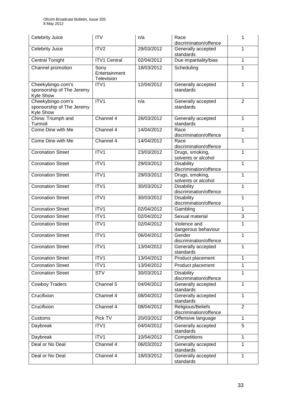| Celebrity Juice                                             | <b>ITV</b>                          | n/a        | Race<br>discrimination/offence              | 1              |
|-------------------------------------------------------------|-------------------------------------|------------|---------------------------------------------|----------------|
| Celebrity Juice                                             | ITV <sub>2</sub>                    | 29/03/2012 | Generally accepted<br>standards             | 1              |
| <b>Central Tonight</b>                                      | <b>ITV1 Central</b>                 | 02/04/2012 | Due impartiality/bias                       | 1              |
| Channel promotion                                           | Sony<br>Entertainment<br>Television | 18/03/2012 | Scheduling                                  | 1              |
| Cheekybingo.com's<br>sponsorship of The Jeremy<br>Kyle Show | ITV1                                | 12/04/2012 | Generally accepted<br>standards             | 1              |
| Cheekybingo.com's<br>sponsorship of The Jeremy<br>Kyle Show | ITV1                                | n/a        | Generally accepted<br>standards             | $\overline{2}$ |
| China: Triumph and<br>Turmoil                               | Channel 4                           | 26/03/2012 | Generally accepted<br>standards             | 1              |
| Come Dine with Me                                           | Channel 4                           | 14/04/2012 | Race<br>discrimination/offence              | 1              |
| Come Dine with Me                                           | Channel 4                           | 14/04/2012 | Race<br>discrimination/offence              | 1              |
| <b>Coronation Street</b>                                    | ITV1                                | 23/03/2012 | Drugs, smoking,<br>solvents or alcohol      | 1              |
| <b>Coronation Street</b>                                    | ITV1                                | 29/03/2012 | <b>Disability</b><br>discrimination/offence | 1              |
| <b>Coronation Street</b>                                    | ITV1                                | 29/03/2012 | Drugs, smoking,<br>solvents or alcohol      | 1              |
| <b>Coronation Street</b>                                    | ITV1                                | 30/03/2012 | <b>Disability</b><br>discrimination/offence | 1              |
| <b>Coronation Street</b>                                    | ITV1                                | 30/03/2012 | Disability<br>discrimination/offence        | 1              |
| <b>Coronation Street</b>                                    | ITV1                                | 02/04/2012 | Gambling                                    | 1              |
| <b>Coronation Street</b>                                    | ITV1                                | 02/04/2012 | Sexual material                             | 3              |
| <b>Coronation Street</b>                                    | ITV1                                | 02/04/2012 | Violence and<br>dangerous behaviour         | 1              |
| <b>Coronation Street</b>                                    | ITV1                                | 06/04/2012 | Gender<br>discrimination/offence            | 1              |
| <b>Coronation Street</b>                                    | ITV1                                | 13/04/2012 | Generally accepted<br>standards             | 1              |
| <b>Coronation Street</b>                                    | ITV1                                | 13/04/2012 | Product placement                           | 1              |
| <b>Coronation Street</b>                                    | ITV1                                | 13/04/2012 | Product placement                           | 1              |
| <b>Coronation Street</b>                                    | <b>STV</b>                          | 30/03/2012 | <b>Disability</b><br>discrimination/offence | 1              |
| <b>Cowboy Traders</b>                                       | Channel 5                           | 04/04/2012 | Generally accepted<br>standards             | 1              |
| Crucifixion                                                 | Channel 4                           | 08/04/2012 | Generally accepted<br>standards             | 1              |
| Crucifixion                                                 | Channel 4                           | 08/04/2012 | Religious/Beliefs<br>discrimination/offence | $\overline{2}$ |
| Customs                                                     | Pick TV                             | 20/03/2012 | Offensive language                          | 1              |
| Daybreak                                                    | ITV1                                | 04/04/2012 | Generally accepted<br>standards             | 5              |
| Daybreak                                                    | ITV1                                | 10/04/2012 | Competitions                                | 1              |
| Deal or No Deal                                             | Channel 4                           | 06/03/2012 | Generally accepted<br>standards             | $\mathbf 1$    |
| Deal or No Deal                                             | Channel 4                           | 18/03/2012 | Generally accepted<br>standards             | 1              |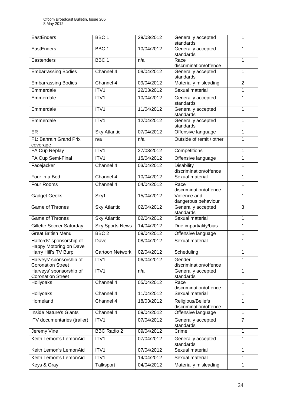| EastEnders                                          | BBC <sub>1</sub>       | 29/03/2012 | Generally accepted<br>standards             | 1              |
|-----------------------------------------------------|------------------------|------------|---------------------------------------------|----------------|
| EastEnders                                          | BBC <sub>1</sub>       | 10/04/2012 | Generally accepted<br>standards             | 1              |
| Eastenders                                          | BBC <sub>1</sub>       | n/a        | Race<br>discrimination/offence              | 1              |
| <b>Embarrassing Bodies</b>                          | Channel 4              | 09/04/2012 | Generally accepted<br>standards             | 1              |
| <b>Embarrassing Bodies</b>                          | Channel 4              | 09/04/2012 | Materially misleading                       | $\overline{2}$ |
| Emmerdale                                           | ITV1                   | 22/03/2012 | Sexual material                             | 1              |
| Emmerdale                                           | ITV1                   | 10/04/2012 | Generally accepted<br>standards             | 1              |
| Emmerdale                                           | ITV1                   | 11/04/2012 | Generally accepted<br>standards             | $\mathbf{1}$   |
| Emmerdale                                           | ITV1                   | 12/04/2012 | Generally accepted<br>standards             | 1              |
| <b>ER</b>                                           | <b>Sky Atlantic</b>    | 07/04/2012 | Offensive language                          | 1              |
| F1: Bahrain Grand Prix<br>coverage                  | n/a                    | n/a        | Outside of remit / other                    | 1              |
| <b>FA Cup Replay</b>                                | ITV1                   | 27/03/2012 | Competitions                                | 1              |
| FA Cup Semi-Final                                   | ITV1                   | 15/04/2012 | Offensive language                          | 1              |
| Facejacker                                          | Channel 4              | 03/04/2012 | <b>Disability</b><br>discrimination/offence | 1              |
| Four in a Bed                                       | Channel 4              | 10/04/2012 | Sexual material                             | 1              |
| Four Rooms                                          | Channel 4              | 04/04/2012 | Race<br>discrimination/offence              | 1              |
| <b>Gadget Geeks</b>                                 | Sky1                   | 15/04/2012 | Violence and<br>dangerous behaviour         | 1              |
| <b>Game of Thrones</b>                              | <b>Sky Atlantic</b>    | 02/04/2012 | Generally accepted<br>standards             | 3              |
| <b>Game of Thrones</b>                              | <b>Sky Atlantic</b>    | 02/04/2012 | Sexual material                             | 1              |
| Gillette Soccer Saturday                            | <b>Sky Sports News</b> | 14/04/2012 | Due impartiality/bias                       | 1              |
| <b>Great British Menu</b>                           | BBC <sub>2</sub>       | 09/04/2012 | Offensive language                          | 1              |
| Halfords' sponsorship of<br>Happy Motoring on Dave  | Dave                   | 08/04/2012 | Sexual material                             | 1              |
| Harry Hill's TV Burp                                | <b>Cartoon Network</b> | 02/04/2012 | Scheduling                                  | 1              |
| Harveys' sponsorship of<br><b>Coronation Street</b> | ITV1                   | 06/04/2012 | Gender<br>discrimination/offence            | 1              |
| Harveys' sponsorship of<br><b>Coronation Street</b> | ITV1                   | n/a        | Generally accepted<br>standards             | 1              |
| Hollyoaks                                           | Channel 4              | 05/04/2012 | Race<br>discrimination/offence              | 1              |
| Hollyoaks                                           | Channel 4              | 11/04/2012 | Sexual material                             | 1              |
| Homeland                                            | Channel 4              | 18/03/2012 | Religious/Beliefs<br>discrimination/offence | 1              |
| <b>Inside Nature's Giants</b>                       | Channel 4              | 09/04/2012 | Offensive language                          | 1              |
| ITV documentaries (trailer)                         | ITV1                   | 07/04/2012 | Generally accepted<br>standards             | $\overline{7}$ |
| Jeremy Vine                                         | <b>BBC Radio 2</b>     | 09/04/2012 | Crime                                       | 1              |
| Keith Lemon's LemonAid                              | ITV1                   | 07/04/2012 | Generally accepted<br>standards             | 1              |
| Keith Lemon's LemonAid                              | ITV1                   | 07/04/2012 | Sexual material                             | 1              |
| Keith Lemon's LemonAid                              | ITV1                   | 14/04/2012 | Sexual material                             | 1              |
| Keys & Gray                                         | Talksport              | 04/04/2012 | Materially misleading                       | $\mathbf{1}$   |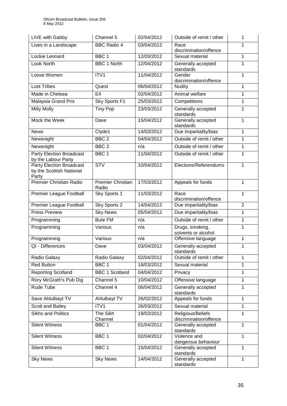| LIVE with Gabby                                                      | Channel 5                         | 02/04/2012 | Outside of remit / other                    | 1              |
|----------------------------------------------------------------------|-----------------------------------|------------|---------------------------------------------|----------------|
| Lives in a Landscape                                                 | <b>BBC Radio 4</b>                | 03/04/2012 | Race<br>discrimination/offence              | 1              |
| Lockie Leonard                                                       | BBC <sub>1</sub>                  | 12/03/2012 | Sexual material                             | 1              |
| Look North                                                           | <b>BBC 1 North</b>                | 12/04/2012 | Generally accepted<br>standards             | 1              |
| Loose Women                                                          | ITV1                              | 11/04/2012 | Gender<br>discrimination/offence            | 1              |
| <b>Lost Tribes</b>                                                   | Quest                             | 06/04/2012 | <b>Nudity</b>                               | 1              |
| Made in Chelsea                                                      | E <sub>4</sub>                    | 02/04/2012 | Animal welfare                              | 1              |
| Malaysia Grand Prix                                                  | Sky Sports F1                     | 25/03/2012 | Competitions                                | 1              |
| <b>Milly Molly</b>                                                   | <b>Tiny Pop</b>                   | 23/03/2012 | Generally accepted<br>standards             | 1              |
| Mock the Week                                                        | Dave                              | 15/04/2012 | Generally accepted<br>standards             | $\mathbf 1$    |
| <b>News</b>                                                          | Clyde1                            | 14/03/2012 | Due impartiality/bias                       | 1              |
| Newsnight                                                            | BBC <sub>2</sub>                  | 04/04/2012 | Outside of remit / other                    | 1              |
| Newsnight                                                            | BBC <sub>2</sub>                  | n/a        | Outside of remit / other                    | 1              |
| <b>Party Election Broadcast</b><br>by the Labour Party               | BBC <sub>1</sub>                  | 11/04/2012 | Outside of remit / other                    | 1              |
| <b>Party Election Broadcast</b><br>by the Scottish National<br>Party | <b>STV</b>                        | 10/04/2012 | Elections/Referendums                       | 1              |
| <b>Premier Christian Radio</b>                                       | <b>Premier Christian</b><br>Radio | 17/03/2012 | Appeals for funds                           | 1              |
| Premier League Football                                              | Sky Sports 1                      | 11/03/2012 | Race<br>discrimination/offence              | 1              |
| <b>Premier League Football</b>                                       | Sky Sports 2                      | 14/04/2012 | Due impartiality/bias                       | $\overline{2}$ |
| <b>Press Preview</b>                                                 | <b>Sky News</b>                   | 05/04/2012 | Due impartiality/bias                       | 1              |
| Programming                                                          | <b>Bute FM</b>                    | n/a        | Outside of remit / other                    | 1              |
| Programming                                                          | Various                           | n/a        | Drugs, smoking,<br>solvents or alcohol      | 1              |
| Programming                                                          | Various                           | n/a        | Offensive language                          | 1              |
| QI - Differences                                                     | Dave                              | 03/04/2012 | Generally accepted<br>standards             | 1              |
| Radio Galaxy                                                         | Radio Galaxy                      | 02/04/2012 | Outside of remit / other                    | 1              |
| <b>Red Button</b>                                                    | BBC <sub>1</sub>                  | 18/03/2012 | Sexual material                             | 1              |
| <b>Reporting Scotland</b>                                            | <b>BBC 1 Scotland</b>             | 04/04/2012 | Privacy                                     | 1              |
| Rory McGrath's Pub Dig                                               | Channel 5                         | 10/04/2012 | Offensive language                          | 1              |
| <b>Rude Tube</b>                                                     | Channel 4                         | 06/04/2012 | Generally accepted<br>standards             | 1              |
| Save Ahlulbayt TV                                                    | <b>Ahlulbayt TV</b>               | 26/02/2012 | Appeals for funds                           | 1              |
| Scott and Bailey                                                     | ITV1                              | 26/03/2012 | Sexual material                             | 1              |
| <b>Sikhs and Politics</b>                                            | The Sikh<br>Channel               | 19/03/2012 | Religious/Beliefs<br>discrimination/offence | 1              |
| <b>Silent Witness</b>                                                | BBC <sub>1</sub>                  | 01/04/2012 | Generally accepted<br>standards             | 1              |
| <b>Silent Witness</b>                                                | BBC <sub>1</sub>                  | 02/04/2012 | Violence and<br>dangerous behaviour         | 1              |
| <b>Silent Witness</b>                                                | BBC <sub>1</sub>                  | 15/04/2012 | Generally accepted<br>standards             | 1              |
| <b>Sky News</b>                                                      | <b>Sky News</b>                   | 14/04/2012 | Generally accepted<br>standards             | 1              |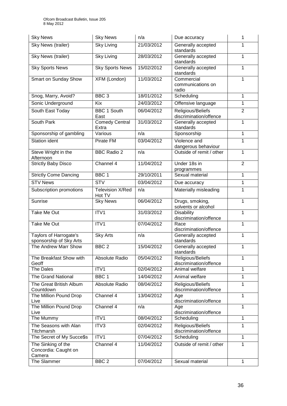| <b>Sky News</b>                                          | <b>Sky News</b>                   | n/a        | Due accuracy                                    | 1              |
|----------------------------------------------------------|-----------------------------------|------------|-------------------------------------------------|----------------|
| Sky News (trailer)                                       | <b>Sky Living</b>                 | 21/03/2012 | Generally accepted<br>standards                 | 1              |
| Sky News (trailer)                                       | <b>Sky Living</b>                 | 28/03/2012 | Generally accepted<br>standards                 | 1              |
| <b>Sky Sports News</b>                                   | <b>Sky Sports News</b>            | 15/02/2012 | Generally accepted<br>standards                 | 1              |
| Smart on Sunday Show                                     | XFM (London)                      | 11/03/2012 | Commercial<br>communications on<br>radio        | 1              |
| Snog, Marry, Avoid?                                      | BBC <sub>3</sub>                  | 18/01/2012 | Scheduling                                      | 1              |
| Sonic Underground                                        | <b>Kix</b>                        | 24/03/2012 | Offensive language                              | 1              |
| South East Today                                         | <b>BBC 1 South</b><br>East        | 06/04/2012 | Religious/Beliefs<br>discrimination/offence     | $\overline{2}$ |
| South Park                                               | <b>Comedy Central</b><br>Extra    | 31/03/2012 | Generally accepted<br>standards                 | 1              |
| Sponsorship of gambling                                  | Various                           | n/a        | Sponsorship                                     | 1              |
| Station ident                                            | Pirate FM                         | 03/04/2012 | Violence and                                    | 1              |
| Steve Wright in the                                      | <b>BBC Radio 2</b>                | n/a        | dangerous behaviour<br>Outside of remit / other | 1              |
| Afternoon                                                |                                   |            |                                                 |                |
| <b>Strictly Baby Disco</b>                               | Channel 4                         | 11/04/2012 | Under 18s in                                    | $\overline{2}$ |
|                                                          | BBC <sub>1</sub>                  |            | programmes<br>Sexual material                   | 1              |
| <b>Strictly Come Dancing</b>                             |                                   | 29/10/2011 |                                                 |                |
| <b>STV News</b>                                          | <b>STV</b>                        | 03/04/2012 | Due accuracy                                    | 1              |
| Subscription promotions                                  | <b>Television X/Red</b><br>Hot TV | n/a        | Materially misleading                           | 1              |
| Sunrise                                                  | <b>Sky News</b>                   | 06/04/2012 | Drugs, smoking,<br>solvents or alcohol          | 1              |
| Take Me Out                                              | ITV1                              | 31/03/2012 | <b>Disability</b><br>discrimination/offence     | 1              |
| Take Me Out                                              | ITV1                              | 07/04/2012 | Race<br>discrimination/offence                  | 1              |
| <b>Taylors of Harrogate's</b><br>sponsorship of Sky Arts | <b>Sky Arts</b>                   | n/a        | Generally accepted<br>standards                 | 1              |
| The Andrew Marr Show                                     | BBC <sub>2</sub>                  | 15/04/2012 | Generally accepted<br>standards                 | $\mathbf{1}$   |
| The Breakfast Show with<br>Geoff                         | Absolute Radio                    | 05/04/2012 | Religious/Beliefs<br>discrimination/offence     | 1              |
| The Dales                                                | ITV1                              | 02/04/2012 | Animal welfare                                  | 1              |
| <b>The Grand National</b>                                | BBC <sub>1</sub>                  | 14/04/2012 | Animal welfare                                  | 1              |
| The Great British Album<br>Countdown                     | Absolute Radio                    | 08/04/2012 | Religious/Beliefs<br>discrimination/offence     | 1              |
| The Million Pound Drop<br>Live                           | Channel 4                         | 13/04/2012 | Age<br>discrimination/offence                   | 1              |
| The Million Pound Drop<br>Live                           | Channel 4                         | n/a        | Age<br>discrimination/offence                   | 1              |
| The Mummy                                                | ITV1                              | 08/04/2012 | Scheduling                                      | 1              |
| The Seasons with Alan<br>Titchmarsh                      | ITV3                              | 02/04/2012 | Religious/Beliefs<br>discrimination/offence     | 1              |
| The Secret of My Succe\$s                                | ITV1                              | 07/04/2012 | Scheduling                                      | 1              |
| The Sinking of the<br>Concordia: Caught on<br>Camera     | Channel 4                         | 11/04/2012 | Outside of remit / other                        | 1              |
| The Slammer                                              | BBC <sub>2</sub>                  | 07/04/2012 | Sexual material                                 | 1              |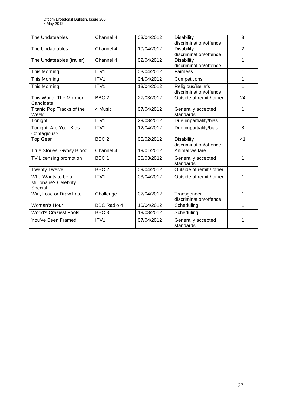| The Undateables                                        | Channel 4          | 03/04/2012 | <b>Disability</b><br>discrimination/offence | 8              |
|--------------------------------------------------------|--------------------|------------|---------------------------------------------|----------------|
| The Undateables                                        | Channel 4          | 10/04/2012 | <b>Disability</b><br>discrimination/offence | $\overline{2}$ |
| The Undateables (trailer)                              | Channel 4          | 02/04/2012 | <b>Disability</b><br>discrimination/offence | 1              |
| This Morning                                           | ITV1               | 03/04/2012 | Fairness                                    | 1              |
| This Morning                                           | ITV <sub>1</sub>   | 04/04/2012 | Competitions                                | 1              |
| This Morning                                           | ITV <sub>1</sub>   | 13/04/2012 | Religious/Beliefs<br>discrimination/offence | 1              |
| This World: The Mormon<br>Candidate                    | BBC <sub>2</sub>   | 27/03/2012 | Outside of remit / other                    | 24             |
| Titanic Pop Tracks of the<br>Week                      | 4 Music            | 07/04/2012 | Generally accepted<br>standards             | 1              |
| Tonight                                                | ITV1               | 29/03/2012 | Due impartiality/bias                       | 1              |
| Tonight: Are Your Kids<br>Contagious?                  | ITV <sub>1</sub>   | 12/04/2012 | Due impartiality/bias                       | 8              |
| <b>Top Gear</b>                                        | BBC <sub>2</sub>   | 05/02/2012 | <b>Disability</b><br>discrimination/offence | 41             |
| True Stories: Gypsy Blood                              | Channel 4          | 19/01/2012 | Animal welfare                              | 1              |
| TV Licensing promotion                                 | BBC <sub>1</sub>   | 30/03/2012 | Generally accepted<br>standards             | 1              |
| <b>Twenty Twelve</b>                                   | BBC <sub>2</sub>   | 09/04/2012 | Outside of remit / other                    | 1              |
| Who Wants to be a<br>Millionaire? Celebrity<br>Special | ITV1               | 03/04/2012 | Outside of remit / other                    | 1              |
| Win, Lose or Draw Late                                 | Challenge          | 07/04/2012 | Transgender<br>discrimination/offence       | 1              |
| Woman's Hour                                           | <b>BBC Radio 4</b> | 10/04/2012 | Scheduling                                  | $\mathbf 1$    |
| <b>World's Craziest Fools</b>                          | BBC <sub>3</sub>   | 19/03/2012 | Scheduling                                  | 1              |
| You've Been Framed!                                    | ITV1               | 07/04/2012 | Generally accepted<br>standards             | 1              |